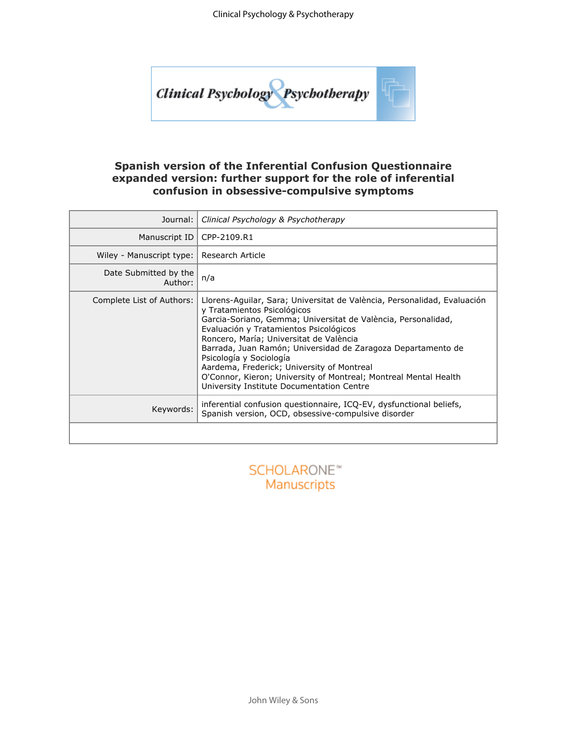

### **Spanish version of the Inferential Confusion Questionnaire expanded version: further support for the role of inferential confusion in obsessive-compulsive symptoms**

| Journal:                         | Clinical Psychology & Psychotherapy                                                                                                                                                                                                                                                                                                                                                                                                                                                                                     |  |  |  |  |  |  |  |
|----------------------------------|-------------------------------------------------------------------------------------------------------------------------------------------------------------------------------------------------------------------------------------------------------------------------------------------------------------------------------------------------------------------------------------------------------------------------------------------------------------------------------------------------------------------------|--|--|--|--|--|--|--|
| Manuscript ID                    | CPP-2109.R1                                                                                                                                                                                                                                                                                                                                                                                                                                                                                                             |  |  |  |  |  |  |  |
| Wiley - Manuscript type:         | Research Article                                                                                                                                                                                                                                                                                                                                                                                                                                                                                                        |  |  |  |  |  |  |  |
| Date Submitted by the<br>Author: | n/a                                                                                                                                                                                                                                                                                                                                                                                                                                                                                                                     |  |  |  |  |  |  |  |
| Complete List of Authors:        | Llorens-Aguilar, Sara; Universitat de València, Personalidad, Evaluación<br>y Tratamientos Psicológicos<br>Garcia-Soriano, Gemma; Universitat de València, Personalidad,<br>Evaluación y Tratamientos Psicológicos<br>Roncero, María; Universitat de València<br>Barrada, Juan Ramón; Universidad de Zaragoza Departamento de<br>Psicología y Sociología<br>Aardema, Frederick; University of Montreal<br>O'Connor, Kieron; University of Montreal; Montreal Mental Health<br>University Institute Documentation Centre |  |  |  |  |  |  |  |
| Keywords:                        | inferential confusion questionnaire, ICQ-EV, dysfunctional beliefs,<br>Spanish version, OCD, obsessive-compulsive disorder                                                                                                                                                                                                                                                                                                                                                                                              |  |  |  |  |  |  |  |
|                                  |                                                                                                                                                                                                                                                                                                                                                                                                                                                                                                                         |  |  |  |  |  |  |  |
|                                  |                                                                                                                                                                                                                                                                                                                                                                                                                                                                                                                         |  |  |  |  |  |  |  |

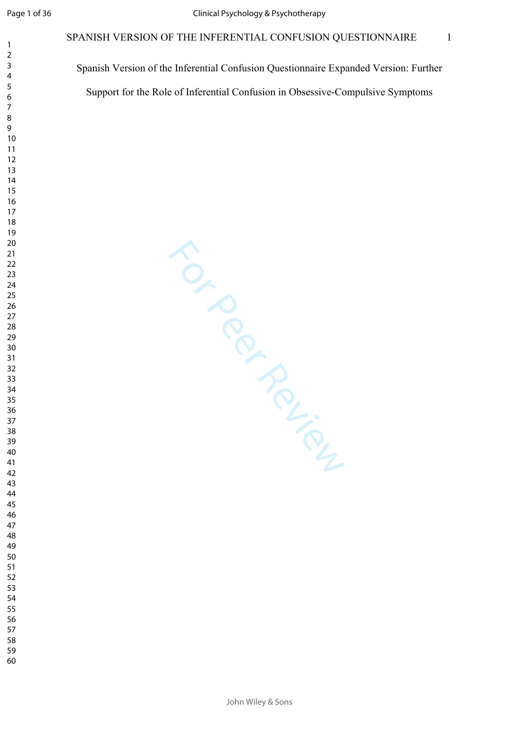$\mathbf{1}$  $\overline{2}$  $\overline{4}$  $\overline{7}$ 

Spanish Version of the Inferential Confusion Questionnaire Expanded Version: Further Support for the Role of Inferential Confusion in Obsessive-Compulsive Symptoms

TO PROVISOR

- 
- 
- 
- 
-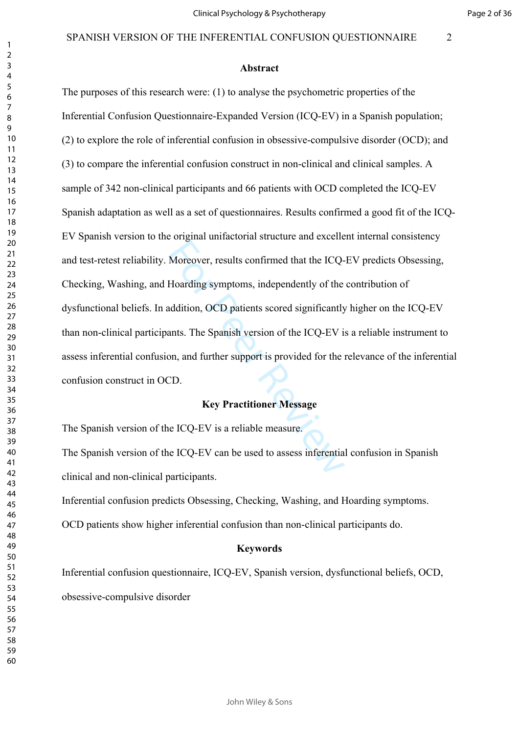Page 2 of 36

#### **Abstract**

Moreover, results confirmed that the ICQ-<br>Hoarding symptoms, independently of the<br>addition, OCD patients scored significantly<br>ants. The Spanish version of the ICQ-EV i<br>on, and further support is provided for the<br>CD.<br>**Key P** The purposes of this research were: (1) to analyse the psychometric properties of the Inferential Confusion Questionnaire-Expanded Version (ICQ-EV) in a Spanish population; (2) to explore the role of inferential confusion in obsessive-compulsive disorder (OCD); and (3) to compare the inferential confusion construct in non-clinical and clinical samples. A sample of 342 non-clinical participants and 66 patients with OCD completed the ICQ-EV Spanish adaptation as well as a set of questionnaires. Results confirmed a good fit of the ICQ-EV Spanish version to the original unifactorial structure and excellent internal consistency and test-retest reliability. Moreover, results confirmed that the ICQ-EV predicts Obsessing, Checking, Washing, and Hoarding symptoms, independently of the contribution of dysfunctional beliefs. In addition, OCD patients scored significantly higher on the ICQ-EV than non-clinical participants. The Spanish version of the ICQ-EV is a reliable instrument to assess inferential confusion, and further support is provided for the relevance of the inferential confusion construct in OCD.

#### **Key Practitioner Message**

The Spanish version of the ICQ-EV is a reliable measure.

The Spanish version of the ICQ-EV can be used to assess inferential confusion in Spanish clinical and non-clinical participants.

Inferential confusion predicts Obsessing, Checking, Washing, and Hoarding symptoms.

OCD patients show higher inferential confusion than non-clinical participants do.

#### **Keywords**

Inferential confusion questionnaire, ICQ-EV, Spanish version, dysfunctional beliefs, OCD, obsessive-compulsive disorder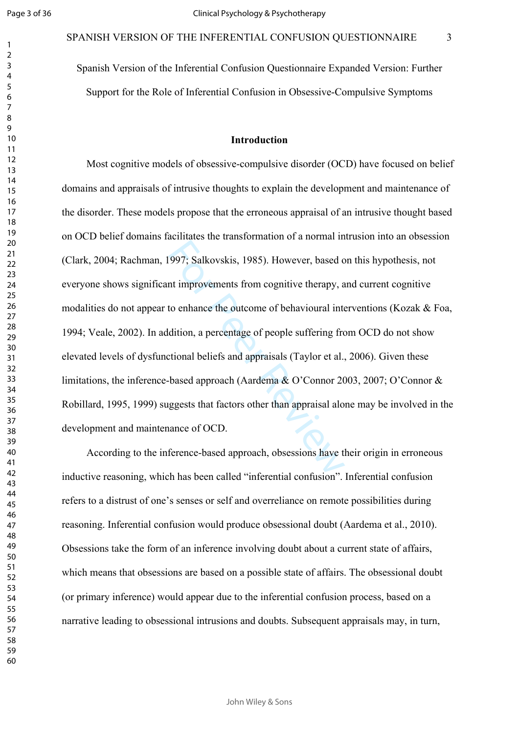$\mathbf{1}$  $\overline{2}$ 

#### SPANISH VERSION OF THE INFERENTIAL CONFUSION QUESTIONNAIRE

Spanish Version of the Inferential Confusion Questionnaire Expanded Version: Further Support for the Role of Inferential Confusion in Obsessive-Compulsive Symptoms

### **Introduction**

1997; Salkovskis, 1985). However, based c<br>the improvements from cognitive therapy, a<br>to enhance the outcome of behavioural interdition, a percentage of people suffering fro<br>tional beliefs and appraisals (Taylor et al.,<br>bas Most cognitive models of obsessive-compulsive disorder (OCD) have focused on belief domains and appraisals of intrusive thoughts to explain the development and maintenance of the disorder. These models propose that the erroneous appraisal of an intrusive thought based on OCD belief domains facilitates the transformation of a normal intrusion into an obsession (Clark, 2004; Rachman, 1997; Salkovskis, 1985). However, based on this hypothesis, not everyone shows significant improvements from cognitive therapy, and current cognitive modalities do not appear to enhance the outcome of behavioural interventions (Kozak & Foa, 1994; Veale, 2002). In addition, a percentage of people suffering from OCD do not show elevated levels of dysfunctional beliefs and appraisals (Taylor et al., 2006). Given these limitations, the inference-based approach (Aardema & O'Connor 2003, 2007; O'Connor & Robillard, 1995, 1999) suggests that factors other than appraisal alone may be involved in the development and maintenance of OCD.

According to the inference-based approach, obsessions have their origin in erroneous inductive reasoning, which has been called "inferential confusion". Inferential confusion refers to a distrust of one's senses or self and overreliance on remote possibilities during reasoning. Inferential confusion would produce obsessional doubt (Aardema et al., 2010). Obsessions take the form of an inference involving doubt about a current state of affairs, which means that obsessions are based on a possible state of affairs. The obsessional doubt (or primary inference) would appear due to the inferential confusion process, based on a narrative leading to obsessional intrusions and doubts. Subsequent appraisals may, in turn,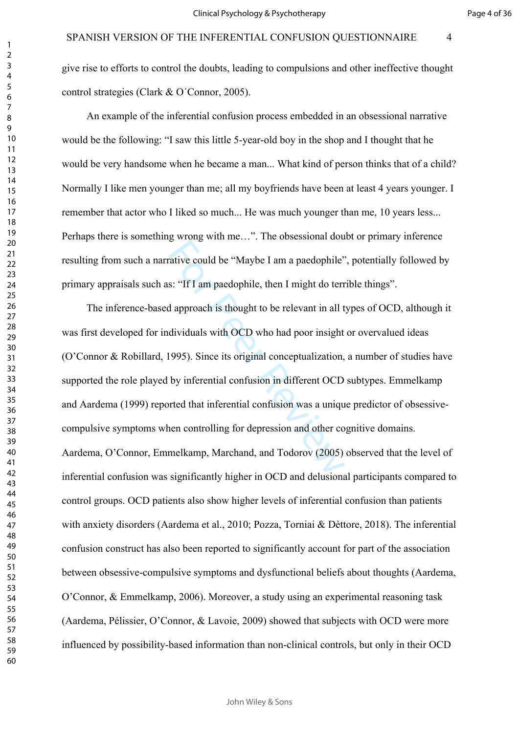give rise to efforts to control the doubts, leading to compulsions and other ineffective thought control strategies (Clark & O´Connor, 2005).

An example of the inferential confusion process embedded in an obsessional narrative would be the following: "I saw this little 5-year-old boy in the shop and I thought that he would be very handsome when he became a man... What kind of person thinks that of a child? Normally I like men younger than me; all my boyfriends have been at least 4 years younger. I remember that actor who I liked so much... He was much younger than me, 10 years less... Perhaps there is something wrong with me…". The obsessional doubt or primary inference resulting from such a narrative could be "Maybe I am a paedophile", potentially followed by primary appraisals such as: "If I am paedophile, then I might do terrible things".

rative could be "Maybe I am a paedophile"<br>s: "If I am paedophile, then I might do terr<br>d approach is thought to be relevant in all t<br>dividuals with OCD who had poor insight<br>1995). Since its original conceptualization,<br>by i The inference-based approach is thought to be relevant in all types of OCD, although it was first developed for individuals with OCD who had poor insight or overvalued ideas (O'Connor & Robillard, 1995). Since its original conceptualization, a number of studies have supported the role played by inferential confusion in different OCD subtypes. Emmelkamp and Aardema (1999) reported that inferential confusion was a unique predictor of obsessivecompulsive symptoms when controlling for depression and other cognitive domains. Aardema, O'Connor, Emmelkamp, Marchand, and Todorov (2005) observed that the level of inferential confusion was significantly higher in OCD and delusional participants compared to control groups. OCD patients also show higher levels of inferential confusion than patients with anxiety disorders (Aardema et al., 2010; Pozza, Torniai & Dèttore, 2018). The inferential confusion construct has also been reported to significantly account for part of the association between obsessive-compulsive symptoms and dysfunctional beliefs about thoughts (Aardema, O'Connor, & Emmelkamp, 2006). Moreover, a study using an experimental reasoning task (Aardema, Pélissier, O'Connor, & Lavoie, 2009) showed that subjects with OCD were more influenced by possibility-based information than non-clinical controls, but only in their OCD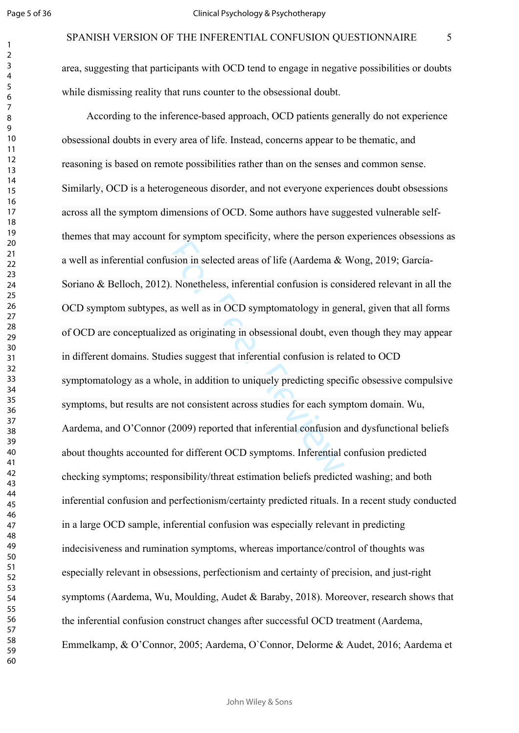$\mathbf{1}$  $\overline{2}$  $\overline{4}$  $\overline{7}$ 

area, suggesting that participants with OCD tend to engage in negative possibilities or doubts while dismissing reality that runs counter to the obsessional doubt.

Example 19 For Protocology in the Control of the Control of the U. Nonetheless, inferential confusion is con<br>as well as in OCD symptomatology in ger<br>ed as originating in obsessional doubt, even<br>dies suggest that inferentia According to the inference-based approach, OCD patients generally do not experience obsessional doubts in every area of life. Instead, concerns appear to be thematic, and reasoning is based on remote possibilities rather than on the senses and common sense. Similarly, OCD is a heterogeneous disorder, and not everyone experiences doubt obsessions across all the symptom dimensions of OCD. Some authors have suggested vulnerable selfthemes that may account for symptom specificity, where the person experiences obsessions as a well as inferential confusion in selected areas of life (Aardema & Wong, 2019; García-Soriano & Belloch, 2012). Nonetheless, inferential confusion is considered relevant in all the OCD symptom subtypes, as well as in OCD symptomatology in general, given that all forms of OCD are conceptualized as originating in obsessional doubt, even though they may appear in different domains. Studies suggest that inferential confusion is related to OCD symptomatology as a whole, in addition to uniquely predicting specific obsessive compulsive symptoms, but results are not consistent across studies for each symptom domain. Wu, Aardema, and O'Connor (2009) reported that inferential confusion and dysfunctional beliefs about thoughts accounted for different OCD symptoms. Inferential confusion predicted checking symptoms; responsibility/threat estimation beliefs predicted washing; and both inferential confusion and perfectionism/certainty predicted rituals. In a recent study conducted in a large OCD sample, inferential confusion was especially relevant in predicting indecisiveness and rumination symptoms, whereas importance/control of thoughts was especially relevant in obsessions, perfectionism and certainty of precision, and just-right symptoms (Aardema, Wu, Moulding, Audet & Baraby, 2018). Moreover, research shows that the inferential confusion construct changes after successful OCD treatment (Aardema, Emmelkamp, & O'Connor, 2005; Aardema, O`Connor, Delorme & Audet, 2016; Aardema et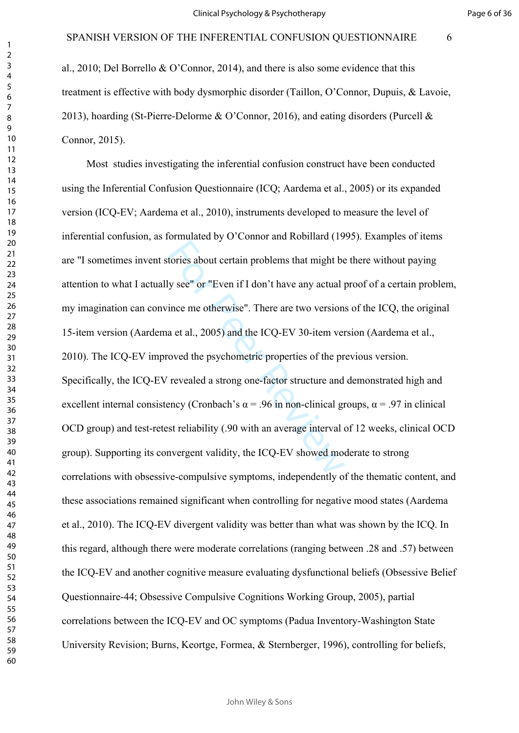al., 2010; Del Borrello & O'Connor, 2014), and there is also some evidence that this treatment is effective with body dysmorphic disorder (Taillon, O'Connor, Dupuis, & Lavoie, 2013), hoarding (St-Pierre-Delorme & O'Connor, 2016), and eating disorders (Purcell & Connor, 2015).

tories about certain problems that might be<br>y see" or "Even if I don't have any actual j<br>ince me otherwise". There are two version<br>a et al., 2005) and the ICQ-EV 30-item ver<br>oved the psychometric properties of the pr<br>reve Most studies investigating the inferential confusion construct have been conducted using the Inferential Confusion Questionnaire (ICQ; Aardema et al., 2005) or its expanded version (ICQ-EV; Aardema et al., 2010), instruments developed to measure the level of inferential confusion, as formulated by O'Connor and Robillard (1995). Examples of items are "I sometimes invent stories about certain problems that might be there without paying attention to what I actually see" or "Even if I don't have any actual proof of a certain problem, my imagination can convince me otherwise". There are two versions of the ICQ, the original 15-item version (Aardema et al., 2005) and the ICQ-EV 30-item version (Aardema et al., 2010). The ICQ-EV improved the psychometric properties of the previous version. Specifically, the ICQ-EV revealed a strong one-factor structure and demonstrated high and excellent internal consistency (Cronbach's  $\alpha$  = .96 in non-clinical groups,  $\alpha$  = .97 in clinical OCD group) and test-retest reliability (.90 with an average interval of 12 weeks, clinical OCD group). Supporting its convergent validity, the ICQ-EV showed moderate to strong correlations with obsessive-compulsive symptoms, independently of the thematic content, and these associations remained significant when controlling for negative mood states (Aardema et al., 2010). The ICQ-EV divergent validity was better than what was shown by the ICQ. In this regard, although there were moderate correlations (ranging between .28 and .57) between the ICQ-EV and another cognitive measure evaluating dysfunctional beliefs (Obsessive Belief Questionnaire-44; Obsessive Compulsive Cognitions Working Group, 2005), partial correlations between the ICQ-EV and OC symptoms (Padua Inventory-Washington State University Revision; Burns, Keortge, Formea, & Sternberger, 1996), controlling for beliefs,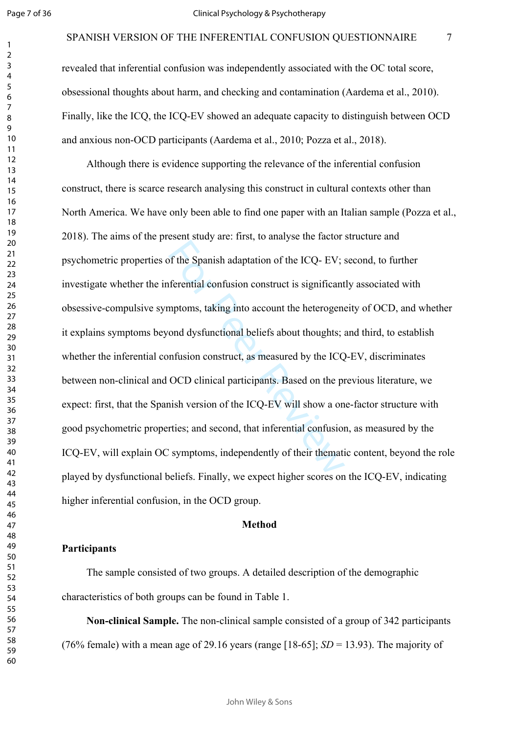revealed that inferential confusion was independently associated with the OC total score, obsessional thoughts about harm, and checking and contamination (Aardema et al., 2010). Finally, like the ICQ, the ICQ-EV showed an adequate capacity to distinguish between OCD and anxious non-OCD participants (Aardema et al., 2010; Pozza et al., 2018).

of the Spanish adaptation of the ICQ- EV;<br>ferential confusion construct is significant<br>mptoms, taking into account the heterogene<br>ond dysfunctional beliefs about thoughts;<br>anfusion construct, as measured by the ICQ<br>OCD cli Although there is evidence supporting the relevance of the inferential confusion construct, there is scarce research analysing this construct in cultural contexts other than North America. We have only been able to find one paper with an Italian sample (Pozza et al., 2018). The aims of the present study are: first, to analyse the factor structure and psychometric properties of the Spanish adaptation of the ICQ- EV; second, to further investigate whether the inferential confusion construct is significantly associated with obsessive-compulsive symptoms, taking into account the heterogeneity of OCD, and whether it explains symptoms beyond dysfunctional beliefs about thoughts; and third, to establish whether the inferential confusion construct, as measured by the ICQ-EV, discriminates between non-clinical and OCD clinical participants. Based on the previous literature, we expect: first, that the Spanish version of the ICQ-EV will show a one-factor structure with good psychometric properties; and second, that inferential confusion, as measured by the ICQ-EV, will explain OC symptoms, independently of their thematic content, beyond the role played by dysfunctional beliefs. Finally, we expect higher scores on the ICQ-EV, indicating higher inferential confusion, in the OCD group.

#### **Method**

### **Participants**

The sample consisted of two groups. A detailed description of the demographic characteristics of both groups can be found in Table 1.

**Non-clinical Sample.** The non-clinical sample consisted of a group of 342 participants (76% female) with a mean age of 29.16 years (range [18-65];  $SD = 13.93$ ). The majority of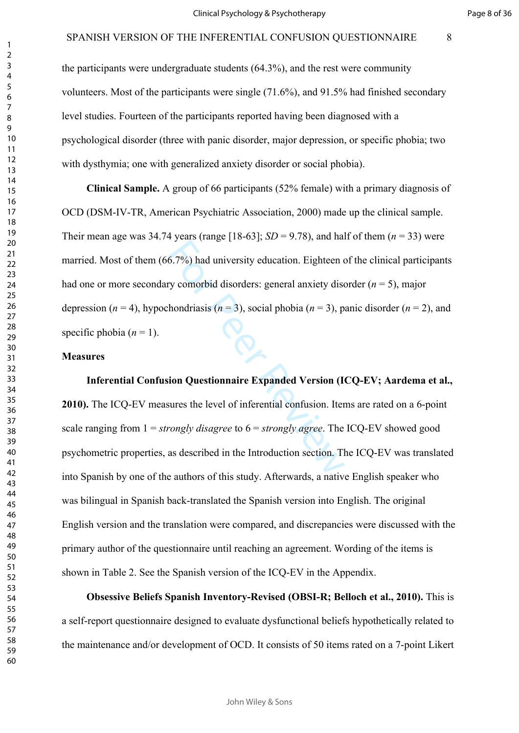the participants were undergraduate students (64.3%), and the rest were community volunteers. Most of the participants were single (71.6%), and 91.5% had finished secondary level studies. Fourteen of the participants reported having been diagnosed with a psychological disorder (three with panic disorder, major depression, or specific phobia; two with dysthymia; one with generalized anxiety disorder or social phobia).

6.7%) had university education. Eighteen or<br>ty comorbid disorders: general anxiety disordering the hondriasis ( $n = 3$ ), social phobia ( $n = 3$ ), p<br>**ion Questionnaire Expanded Version (I**<br>sures the level of inferential conf **Clinical Sample.** A group of 66 participants (52% female) with a primary diagnosis of OCD (DSM-IV-TR, American Psychiatric Association, 2000) made up the clinical sample. Their mean age was 34.74 years (range [18-63];  $SD = 9.78$ ), and half of them ( $n = 33$ ) were married. Most of them (66.7%) had university education. Eighteen of the clinical participants had one or more secondary comorbid disorders: general anxiety disorder (*n* = 5), major depression ( $n = 4$ ), hypochondriasis ( $n = 3$ ), social phobia ( $n = 3$ ), panic disorder ( $n = 2$ ), and specific phobia  $(n = 1)$ .

#### **Measures**

**Inferential Confusion Questionnaire Expanded Version (ICQ-EV; Aardema et al., 2010).** The ICQ-EV measures the level of inferential confusion. Items are rated on a 6-point scale ranging from 1 = *strongly disagree* to 6 = *strongly agree*. The ICQ-EV showed good psychometric properties, as described in the Introduction section. The ICQ-EV was translated into Spanish by one of the authors of this study. Afterwards, a native English speaker who was bilingual in Spanish back-translated the Spanish version into English. The original English version and the translation were compared, and discrepancies were discussed with the primary author of the questionnaire until reaching an agreement. Wording of the items is shown in Table 2. See the Spanish version of the ICQ-EV in the Appendix.

**Obsessive Beliefs Spanish Inventory-Revised (OBSI-R; Belloch et al., 2010).** This is a self-report questionnaire designed to evaluate dysfunctional beliefs hypothetically related to the maintenance and/or development of OCD. It consists of 50 items rated on a 7-point Likert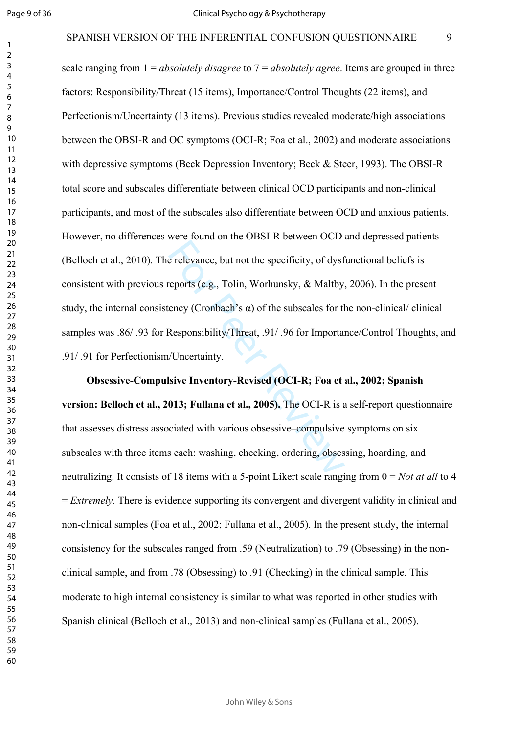$\mathbf{1}$ 

#### SPANISH VERSION OF THE INFERENTIAL CONFUSION QUESTIONNAIRE

e relevance, but not the specificity, of dysf<br>reports (e.g., Tolin, Worhunsky, & Maltby<br>ency (Cronbach's α) of the subscales for the<br>Responsibility/Threat, .91/.96 for Importa<br>//Uncertainty.<br>sive Inventory-Revised (OCI-R scale ranging from 1 = *absolutely disagree* to 7 = *absolutely agree*. Items are grouped in three factors: Responsibility/Threat (15 items), Importance/Control Thoughts (22 items), and Perfectionism/Uncertainty (13 items). Previous studies revealed moderate/high associations between the OBSI-R and OC symptoms (OCI-R; Foa et al., 2002) and moderate associations with depressive symptoms (Beck Depression Inventory; Beck & Steer, 1993). The OBSI-R total score and subscales differentiate between clinical OCD participants and non-clinical participants, and most of the subscales also differentiate between OCD and anxious patients. However, no differences were found on the OBSI-R between OCD and depressed patients (Belloch et al., 2010). The relevance, but not the specificity, of dysfunctional beliefs is consistent with previous reports (e.g., Tolin, Worhunsky, & Maltby, 2006). In the present study, the internal consistency (Cronbach's  $\alpha$ ) of the subscales for the non-clinical/ clinical samples was .86/ .93 for Responsibility/Threat, .91/ .96 for Importance/Control Thoughts, and .91/ .91 for Perfectionism/Uncertainty.

**Obsessive-Compulsive Inventory-Revised (OCI-R; Foa et al., 2002; Spanish version: Belloch et al., 2013; Fullana et al., 2005).** The OCI-R is a self-report questionnaire that assesses distress associated with various obsessive–compulsive symptoms on six subscales with three items each: washing, checking, ordering, obsessing, hoarding, and neutralizing. It consists of 18 items with a 5-point Likert scale ranging from 0 = *Not at all* to 4 = *Extremely.* There is evidence supporting its convergent and divergent validity in clinical and non-clinical samples (Foa et al., 2002; Fullana et al., 2005). In the present study, the internal consistency for the subscales ranged from .59 (Neutralization) to .79 (Obsessing) in the nonclinical sample, and from .78 (Obsessing) to .91 (Checking) in the clinical sample. This moderate to high internal consistency is similar to what was reported in other studies with Spanish clinical (Belloch et al., 2013) and non-clinical samples (Fullana et al., 2005).

John Wiley & Sons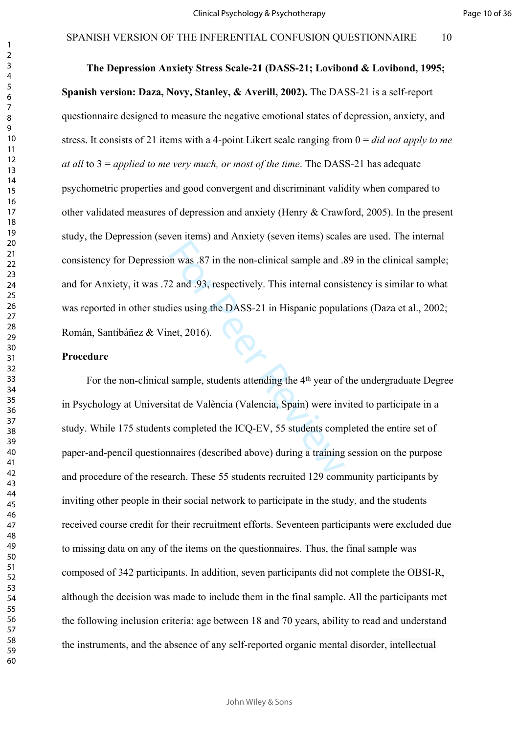Page 10 of 36

on was .87 in the non-clinical sample and .9<br>2 and .93, respectively. This internal consi<br>ilies using the DASS-21 in Hispanic popula<br>net, 2016).<br>Sample, students attending the 4<sup>th</sup> year of<br>itat de València (Valencia, Spai **The Depression Anxiety Stress Scale-21 (DASS-21; Lovibond & Lovibond, 1995; Spanish version: Daza, Novy, Stanley, & Averill, 2002).** The DASS-21 is a self-report questionnaire designed to measure the negative emotional states of depression, anxiety, and stress. It consists of 21 items with a 4-point Likert scale ranging from 0 = *did not apply to me at all* to 3 = *applied to me very much, or most of the time*. The DASS-21 has adequate psychometric properties and good convergent and discriminant validity when compared to other validated measures of depression and anxiety (Henry & Crawford, 2005). In the present study, the Depression (seven items) and Anxiety (seven items) scales are used. The internal consistency for Depression was .87 in the non-clinical sample and .89 in the clinical sample; and for Anxiety, it was .72 and .93, respectively. This internal consistency is similar to what was reported in other studies using the DASS-21 in Hispanic populations (Daza et al., 2002; Román, Santibáñez & Vinet, 2016).

#### **Procedure**

For the non-clinical sample, students attending the 4<sup>th</sup> year of the undergraduate Degree in Psychology at Universitat de València (Valencia, Spain) were invited to participate in a study. While 175 students completed the ICQ-EV, 55 students completed the entire set of paper-and-pencil questionnaires (described above) during a training session on the purpose and procedure of the research. These 55 students recruited 129 community participants by inviting other people in their social network to participate in the study, and the students received course credit for their recruitment efforts. Seventeen participants were excluded due to missing data on any of the items on the questionnaires. Thus, the final sample was composed of 342 participants. In addition, seven participants did not complete the OBSI-R, although the decision was made to include them in the final sample. All the participants met the following inclusion criteria: age between 18 and 70 years, ability to read and understand the instruments, and the absence of any self-reported organic mental disorder, intellectual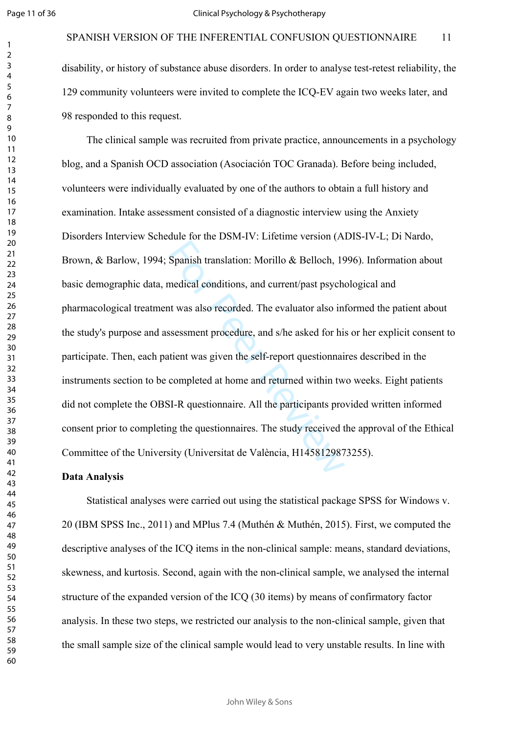$\mathbf{1}$  $\overline{2}$ 

disability, or history of substance abuse disorders. In order to analyse test-retest reliability, the 129 community volunteers were invited to complete the ICQ-EV again two weeks later, and 98 responded to this request.

Spanish translation: Morillo & Belloch, 19<br>medical conditions, and current/past psych-<br>nt was also recorded. The evaluator also in<br>ssessment procedure, and s/he asked for hi<br>tient was given the self-report questionnai<br>comp The clinical sample was recruited from private practice, announcements in a psychology blog, and a Spanish OCD association (Asociación TOC Granada). Before being included, volunteers were individually evaluated by one of the authors to obtain a full history and examination. Intake assessment consisted of a diagnostic interview using the Anxiety Disorders Interview Schedule for the DSM-IV: Lifetime version (ADIS-IV-L; Di Nardo, Brown, & Barlow, 1994; Spanish translation: Morillo & Belloch, 1996). Information about basic demographic data, medical conditions, and current/past psychological and pharmacological treatment was also recorded. The evaluator also informed the patient about the study's purpose and assessment procedure, and s/he asked for his or her explicit consent to participate. Then, each patient was given the self-report questionnaires described in the instruments section to be completed at home and returned within two weeks. Eight patients did not complete the OBSI-R questionnaire. All the participants provided written informed consent prior to completing the questionnaires. The study received the approval of the Ethical Committee of the University (Universitat de València, H1458129873255).

#### **Data Analysis**

Statistical analyses were carried out using the statistical package SPSS for Windows v. 20 (IBM SPSS Inc., 2011) and MPlus 7.4 (Muthén & Muthén, 2015). First, we computed the descriptive analyses of the ICQ items in the non-clinical sample: means, standard deviations, skewness, and kurtosis. Second, again with the non-clinical sample, we analysed the internal structure of the expanded version of the ICQ (30 items) by means of confirmatory factor analysis. In these two steps, we restricted our analysis to the non-clinical sample, given that the small sample size of the clinical sample would lead to very unstable results. In line with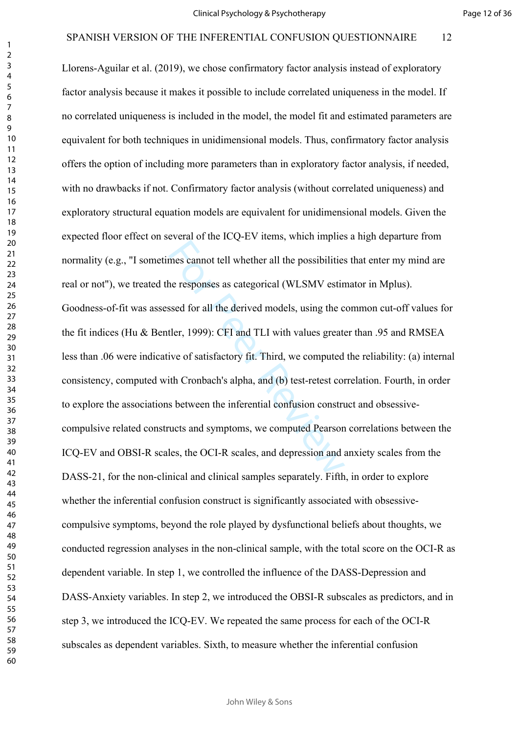mes cannot tell whether all the possibilities<br>the responses as categorical (WLSMV estimated for all the derived models, using the c<br>tler, 1999): CFI and TLI with values greate<br>tive of satisfactory fit. Third, we computed<br>t Llorens-Aguilar et al. (2019), we chose confirmatory factor analysis instead of exploratory factor analysis because it makes it possible to include correlated uniqueness in the model. If no correlated uniqueness is included in the model, the model fit and estimated parameters are equivalent for both techniques in unidimensional models. Thus, confirmatory factor analysis offers the option of including more parameters than in exploratory factor analysis, if needed, with no drawbacks if not. Confirmatory factor analysis (without correlated uniqueness) and exploratory structural equation models are equivalent for unidimensional models. Given the expected floor effect on several of the ICQ-EV items, which implies a high departure from normality (e.g., "I sometimes cannot tell whether all the possibilities that enter my mind are real or not"), we treated the responses as categorical (WLSMV estimator in Mplus). Goodness-of-fit was assessed for all the derived models, using the common cut-off values for the fit indices (Hu & Bentler, 1999): CFI and TLI with values greater than .95 and RMSEA less than .06 were indicative of satisfactory fit. Third, we computed the reliability: (a) internal consistency, computed with Cronbach's alpha, and (b) test-retest correlation. Fourth, in order to explore the associations between the inferential confusion construct and obsessivecompulsive related constructs and symptoms, we computed Pearson correlations between the ICQ-EV and OBSI-R scales, the OCI-R scales, and depression and anxiety scales from the DASS-21, for the non-clinical and clinical samples separately. Fifth, in order to explore whether the inferential confusion construct is significantly associated with obsessivecompulsive symptoms, beyond the role played by dysfunctional beliefs about thoughts, we conducted regression analyses in the non-clinical sample, with the total score on the OCI-R as dependent variable. In step 1, we controlled the influence of the DASS-Depression and DASS-Anxiety variables. In step 2, we introduced the OBSI-R subscales as predictors, and in step 3, we introduced the ICQ-EV. We repeated the same process for each of the OCI-R subscales as dependent variables. Sixth, to measure whether the inferential confusion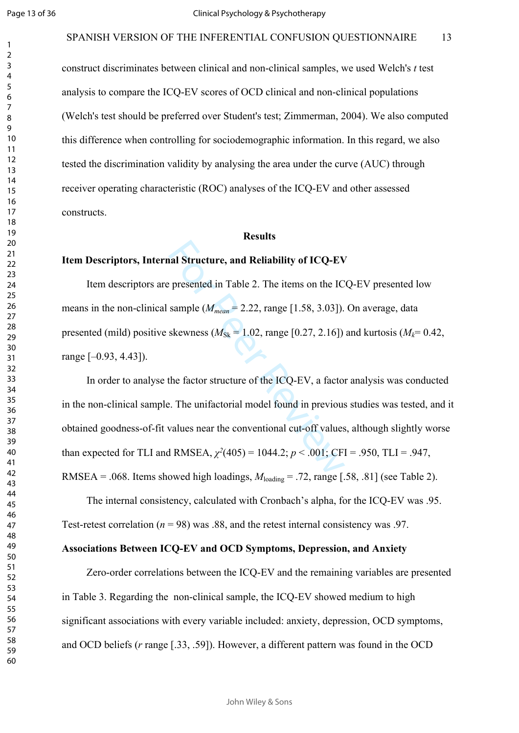construct discriminates between clinical and non-clinical samples, we used Welch's *t* test analysis to compare the ICQ-EV scores of OCD clinical and non-clinical populations (Welch's test should be preferred over Student's test; Zimmerman, 2004). We also computed this difference when controlling for sociodemographic information. In this regard, we also tested the discrimination validity by analysing the area under the curve (AUC) through receiver operating characteristic (ROC) analyses of the ICQ-EV and other assessed constructs.

#### **Results**

#### **Item Descriptors, Internal Structure, and Reliability of ICQ-EV**

Item descriptors are presented in Table 2. The items on the ICQ-EV presented low means in the non-clinical sample (*Mmean* = 2.22, range [1.58, 3.03]). On average, data presented (mild) positive skewness ( $M_{\text{Sk}} = 1.02$ , range [0.27, 2.16]) and kurtosis ( $M_k = 0.42$ , range [–0.93, 4.43]).

al Structure, and Reliability of ICQ-EV<br>
presented in Table 2. The items on the IC<br>
sample ( $M_{mean} = 2.22$ , range [1.58, 3.03]).<br>
skewness ( $M_{Sk} = 1.02$ , range [0.27, 2.16])<br>
the factor structure of the ICQ-EV, a facto<br>
e. In order to analyse the factor structure of the ICQ-EV, a factor analysis was conducted in the non-clinical sample. The unifactorial model found in previous studies was tested, and it obtained goodness-of-fit values near the conventional cut-off values, although slightly worse than expected for TLI and RMSEA,  $\chi^2(405) = 1044.2$ ;  $p < .001$ ; CFI = .950, TLI = .947, RMSEA = .068. Items showed high loadings,  $M_{\text{loading}} = .72$ , range [.58, .81] (see Table 2).

The internal consistency, calculated with Cronbach's alpha, for the ICQ-EV was .95. Test-retest correlation  $(n = 98)$  was .88, and the retest internal consistency was .97.

# **Associations Between ICQ-EV and OCD Symptoms, Depression, and Anxiety**

Zero-order correlations between the ICQ-EV and the remaining variables are presented in Table 3. Regarding the non-clinical sample, the ICQ-EV showed medium to high significant associations with every variable included: anxiety, depression, OCD symptoms, and OCD beliefs ( *r* range [.33, .59]). However, a different pattern was found in the OCD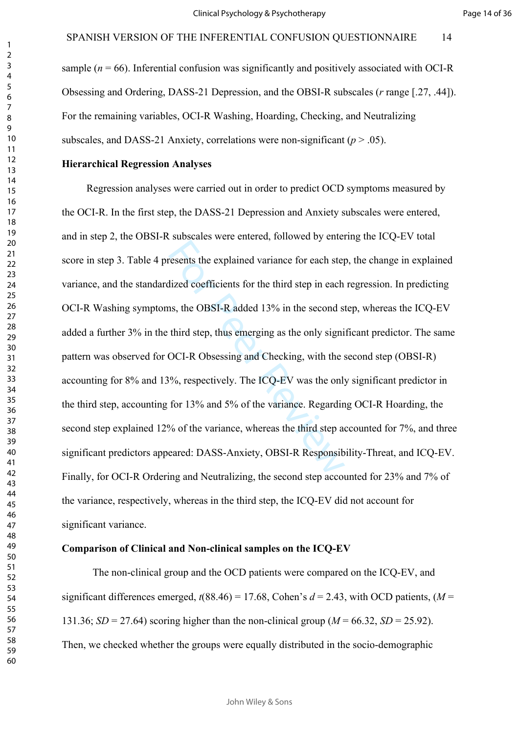sample  $(n = 66)$ . Inferential confusion was significantly and positively associated with OCI-R Obsessing and Ordering, DASS-21 Depression, and the OBSI-R subscales (*r* range [.27, .44]). For the remaining variables, OCI-R Washing, Hoarding, Checking, and Neutralizing subscales, and DASS-21 Anxiety, correlations were non-significant  $(p > .05)$ .

#### **Hierarchical Regression Analyses**

resents the explained variance for each step<br>lized coefficients for the third step in each<br>as, the OBSI-R added 13% in the second s<br>third step, thus emerging as the only signi<br>OCI-R Obsessing and Checking, with the :<br>9%, r Regression analyses were carried out in order to predict OCD symptoms measured by the OCI-R. In the first step, the DASS-21 Depression and Anxiety subscales were entered, and in step 2, the OBSI-R subscales were entered, followed by entering the ICQ-EV total score in step 3. Table 4 presents the explained variance for each step, the change in explained variance, and the standardized coefficients for the third step in each regression. In predicting OCI-R Washing symptoms, the OBSI-R added 13% in the second step, whereas the ICQ-EV added a further 3% in the third step, thus emerging as the only significant predictor. The same pattern was observed for OCI-R Obsessing and Checking, with the second step (OBSI-R) accounting for 8% and 13%, respectively. The ICQ-EV was the only significant predictor in the third step, accounting for 13% and 5% of the variance. Regarding OCI-R Hoarding, the second step explained 12% of the variance, whereas the third step accounted for 7%, and three significant predictors appeared: DASS-Anxiety, OBSI-R Responsibility-Threat, and ICQ-EV. Finally, for OCI-R Ordering and Neutralizing, the second step accounted for 23% and 7% of the variance, respectively, whereas in the third step, the ICQ-EV did not account for significant variance.

#### **Comparison of Clinical and Non-clinical samples on the ICQ-EV**

The non-clinical group and the OCD patients were compared on the ICQ-EV, and significant differences emerged,  $t(88.46) = 17.68$ , Cohen's  $d = 2.43$ , with OCD patients,  $(M =$ 131.36; *SD* = 27.64) scoring higher than the non-clinical group ( $M = 66.32$ , *SD* = 25.92). Then, we checked whether the groups were equally distributed in the socio-demographic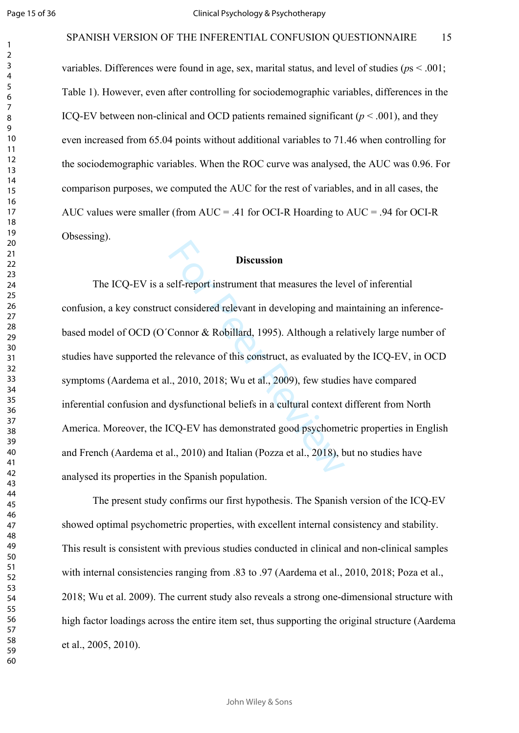variables. Differences were found in age, sex, marital status, and level of studies ( $ps < .001$ ; Table 1). However, even after controlling for sociodemographic variables, differences in the ICQ-EV between non-clinical and OCD patients remained significant  $(p < .001)$ , and they even increased from 65.04 points without additional variables to 71.46 when controlling for the sociodemographic variables. When the ROC curve was analysed, the AUC was 0.96. For comparison purposes, we computed the AUC for the rest of variables, and in all cases, the AUC values were smaller (from AUC = .41 for OCI-R Hoarding to AUC = .94 for OCI-R Obsessing).

#### **Discussion**

**Discussion**<br>
self-report instrument that measures the level<br>
t considered relevant in developing and main<br>
Connor & Robillard, 1995). Although a re<br>
e relevance of this construct, as evaluated<br>
L., 2010, 2018; Wu et al., The ICQ-EV is a self-report instrument that measures the level of inferential confusion, a key construct considered relevant in developing and maintaining an inferencebased model of OCD (O´Connor & Robillard, 1995). Although a relatively large number of studies have supported the relevance of this construct, as evaluated by the ICQ-EV, in OCD symptoms (Aardema et al., 2010, 2018; Wu et al., 2009), few studies have compared inferential confusion and dysfunctional beliefs in a cultural context different from North America. Moreover, the ICQ-EV has demonstrated good psychometric properties in English and French (Aardema et al., 2010) and Italian (Pozza et al., 2018), but no studies have analysed its properties in the Spanish population.

The present study confirms our first hypothesis. The Spanish version of the ICQ-EV showed optimal psychometric properties, with excellent internal consistency and stability. This result is consistent with previous studies conducted in clinical and non-clinical samples with internal consistencies ranging from .83 to .97 (Aardema et al., 2010, 2018; Poza et al., 2018; Wu et al. 2009). The current study also reveals a strong one-dimensional structure with high factor loadings across the entire item set, thus supporting the original structure (Aardema et al., 2005, 2010).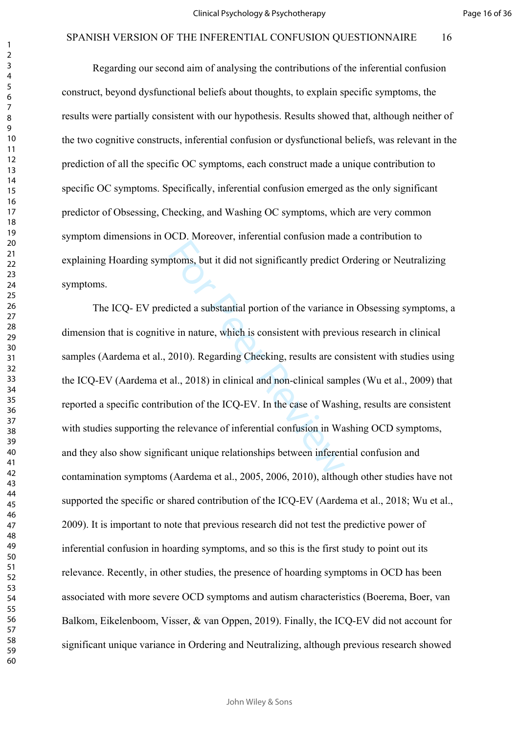Regarding our second aim of analysing the contributions of the inferential confusion construct, beyond dysfunctional beliefs about thoughts, to explain specific symptoms, the results were partially consistent with our hypothesis. Results showed that, although neither of the two cognitive constructs, inferential confusion or dysfunctional beliefs, was relevant in the prediction of all the specific OC symptoms, each construct made a unique contribution to specific OC symptoms. Specifically, inferential confusion emerged as the only significant predictor of Obsessing, Checking, and Washing OC symptoms, which are very common symptom dimensions in OCD. Moreover, inferential confusion made a contribution to explaining Hoarding symptoms, but it did not significantly predict Ordering or Neutralizing symptoms.

ptoms, but it did not significantly predict C<br>dicted a substantial portion of the variance<br>ve in nature, which is consistent with preview<br>2010). Regarding Checking, results are co<br>al., 2018) in clinical and non-clinical sa The ICQ- EV predicted a substantial portion of the variance in Obsessing symptoms, a dimension that is cognitive in nature, which is consistent with previous research in clinical samples (Aardema et al., 2010). Regarding Checking, results are consistent with studies using the ICQ-EV (Aardema et al., 2018) in clinical and non-clinical samples (Wu et al., 2009) that reported a specific contribution of the ICQ-EV. In the case of Washing, results are consistent with studies supporting the relevance of inferential confusion in Washing OCD symptoms, and they also show significant unique relationships between inferential confusion and contamination symptoms (Aardema et al., 2005, 2006, 2010), although other studies have not supported the specific or shared contribution of the ICQ-EV (Aardema et al., 2018; Wu et al., 2009). It is important to note that previous research did not test the predictive power of inferential confusion in hoarding symptoms, and so this is the first study to point out its relevance. Recently, in other studies, the presence of hoarding symptoms in OCD has been associated with more severe OCD symptoms and autism characteristics (Boerema, Boer, van Balkom, Eikelenboom, Visser, & van Oppen, 2019). Finally, the ICQ-EV did not account for significant unique variance in Ordering and Neutralizing, although previous research showed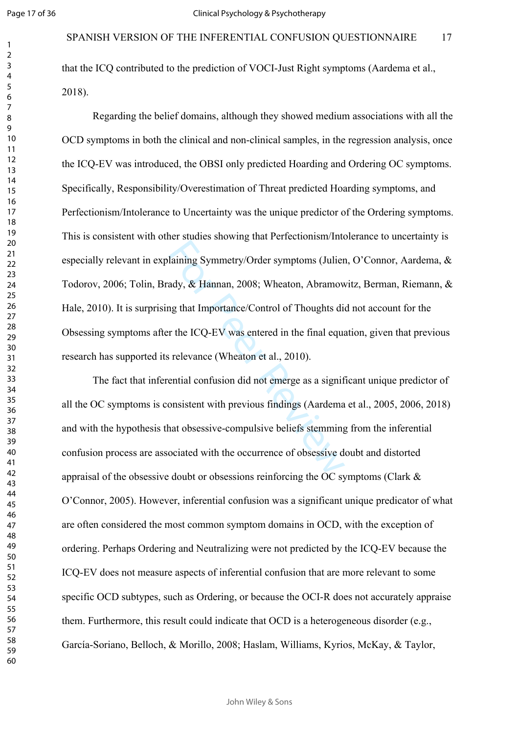$\mathbf{1}$  $\overline{2}$  $\overline{4}$  $\overline{7}$ 

that the ICQ contributed to the prediction of VOCI-Just Right symptoms (Aardema et al., 2018).

laining Symmetry/Order symptoms (Julier<br>ady, & Hannan, 2008; Wheaton, Abramow<br>ag that Importance/Control of Thoughts di<br>r the ICQ-EV was entered in the final equa<br>s relevance (Wheaton et al., 2010).<br>ential confusion did no Regarding the belief domains, although they showed medium associations with all the OCD symptoms in both the clinical and non-clinical samples, in the regression analysis, once the ICQ-EV was introduced, the OBSI only predicted Hoarding and Ordering OC symptoms. Specifically, Responsibility/Overestimation of Threat predicted Hoarding symptoms, and Perfectionism/Intolerance to Uncertainty was the unique predictor of the Ordering symptoms. This is consistent with other studies showing that Perfectionism/Intolerance to uncertainty is especially relevant in explaining Symmetry/Order symptoms (Julien, O'Connor, Aardema, & Todorov, 2006; Tolin, Brady, & Hannan, 2008; Wheaton, Abramowitz, Berman, Riemann, & Hale, 2010). It is surprising that Importance/Control of Thoughts did not account for the Obsessing symptoms after the ICQ-EV was entered in the final equation, given that previous research has supported its relevance (Wheaton et al., 2010).

The fact that inferential confusion did not emerge as a significant unique predictor of all the OC symptoms is consistent with previous findings (Aardema et al., 2005, 2006, 2018) and with the hypothesis that obsessive-compulsive beliefs stemming from the inferential confusion process are associated with the occurrence of obsessive doubt and distorted appraisal of the obsessive doubt or obsessions reinforcing the OC symptoms (Clark & O'Connor, 2005). However, inferential confusion was a significant unique predicator of what are often considered the most common symptom domains in OCD, with the exception of ordering. Perhaps Ordering and Neutralizing were not predicted by the ICQ-EV because the ICQ-EV does not measure aspects of inferential confusion that are more relevant to some specific OCD subtypes, such as Ordering, or because the OCI-R does not accurately appraise them. Furthermore, this result could indicate that OCD is a heterogeneous disorder (e.g., García-Soriano, Belloch, & Morillo, 2008; Haslam, Williams, Kyrios, McKay, & Taylor,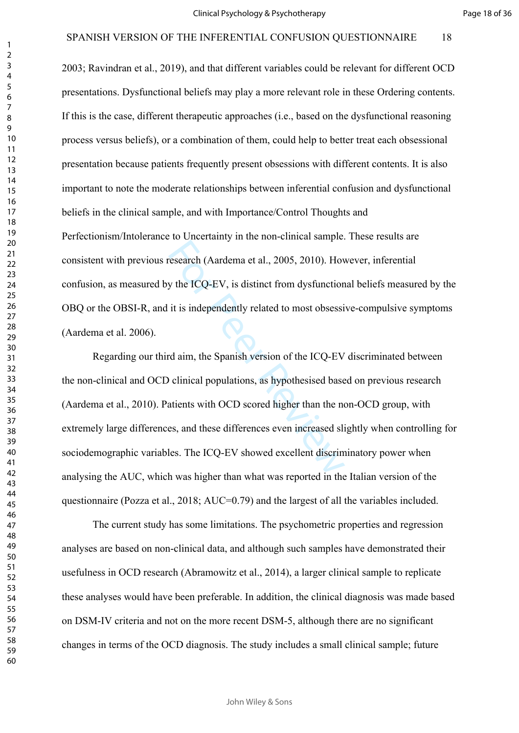2003; Ravindran et al., 2019), and that different variables could be relevant for different OCD presentations. Dysfunctional beliefs may play a more relevant role in these Ordering contents. If this is the case, different therapeutic approaches (i.e., based on the dysfunctional reasoning process versus beliefs), or a combination of them, could help to better treat each obsessional presentation because patients frequently present obsessions with different contents. It is also important to note the moderate relationships between inferential confusion and dysfunctional beliefs in the clinical sample, and with Importance/Control Thoughts and Perfectionism/Intolerance to Uncertainty in the non-clinical sample. These results are consistent with previous research (Aardema et al., 2005, 2010). However, inferential confusion, as measured by the ICQ-EV, is distinct from dysfunctional beliefs measured by the OBQ or the OBSI-R, and it is independently related to most obsessive-compulsive symptoms (Aardema et al. 2006).

research (Aardema et al., 2005, 2010). How<br>y the ICQ-EV, is distinct from dysfunction<br>it is independently related to most obsessi<br>of a aim, the Spanish version of the ICQ-EV<br>of a aim, the Spanish version of the ICQ-EV<br>of c Regarding our third aim, the Spanish version of the ICQ-EV discriminated between the non-clinical and OCD clinical populations, as hypothesised based on previous research (Aardema et al., 2010). Patients with OCD scored higher than the non-OCD group, with extremely large differences, and these differences even increased slightly when controlling for sociodemographic variables. The ICQ-EV showed excellent discriminatory power when analysing the AUC, which was higher than what was reported in the Italian version of the questionnaire (Pozza et al., 2018; AUC=0.79) and the largest of all the variables included.

The current study has some limitations. The psychometric properties and regression analyses are based on non-clinical data, and although such samples have demonstrated their usefulness in OCD research (Abramowitz et al., 2014), a larger clinical sample to replicate these analyses would have been preferable. In addition, the clinical diagnosis was made based on DSM-IV criteria and not on the more recent DSM-5, although there are no significant changes in terms of the OCD diagnosis. The study includes a small clinical sample; future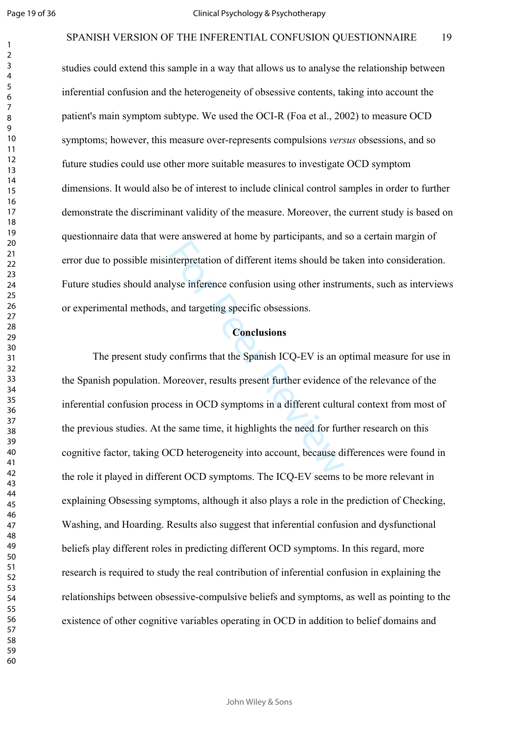$\mathbf{1}$  $\overline{2}$  $\overline{3}$ 

#### SPANISH VERSION OF THE INFERENTIAL CONFUSION OUESTIONNAIRE 19

studies could extend this sample in a way that allows us to analyse the relationship between inferential confusion and the heterogeneity of obsessive contents, taking into account the patient's main symptom subtype. We used the OCI-R (Foa et al., 2002) to measure OCD symptoms; however, this measure over-represents compulsions *versus* obsessions, and so future studies could use other more suitable measures to investigate OCD symptom dimensions. It would also be of interest to include clinical control samples in order to further demonstrate the discriminant validity of the measure. Moreover, the current study is based on questionnaire data that were answered at home by participants, and so a certain margin of error due to possible misinterpretation of different items should be taken into consideration. Future studies should analyse inference confusion using other instruments, such as interviews or experimental methods, and targeting specific obsessions.

#### **Conclusions**

merpretation of different items should be t<br>lyse inference confusion using other instru<br>and targeting specific obsessions.<br>**Conclusions**<br>confirms that the Spanish ICQ-EV is an of<br>Moreover, results present further evidence The present study confirms that the Spanish ICQ-EV is an optimal measure for use in the Spanish population. Moreover, results present further evidence of the relevance of the inferential confusion process in OCD symptoms in a different cultural context from most of the previous studies. At the same time, it highlights the need for further research on this cognitive factor, taking OCD heterogeneity into account, because differences were found in the role it played in different OCD symptoms. The ICQ-EV seems to be more relevant in explaining Obsessing symptoms, although it also plays a role in the prediction of Checking, Washing, and Hoarding. Results also suggest that inferential confusion and dysfunctional beliefs play different roles in predicting different OCD symptoms. In this regard, more research is required to study the real contribution of inferential confusion in explaining the relationships between obsessive-compulsive beliefs and symptoms, as well as pointing to the existence of other cognitive variables operating in OCD in addition to belief domains and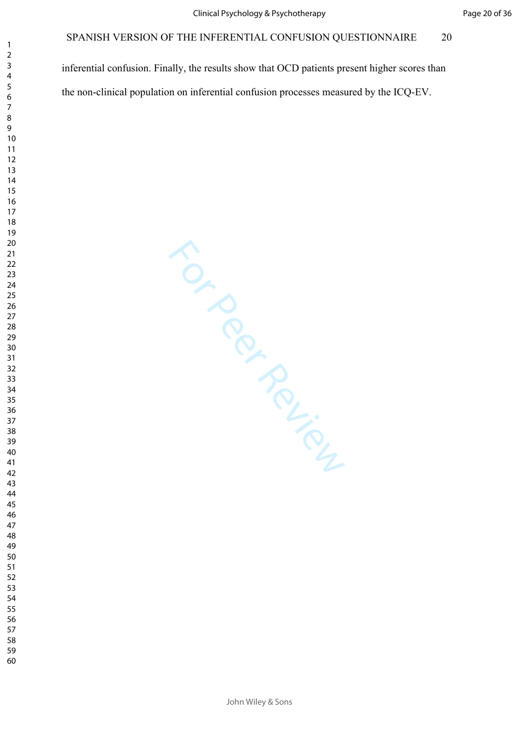inferential confusion. Finally, the results show that OCD patients present higher scores than the non-clinical population on inferential confusion processes measured by the ICQ-EV.

For Per Ferrier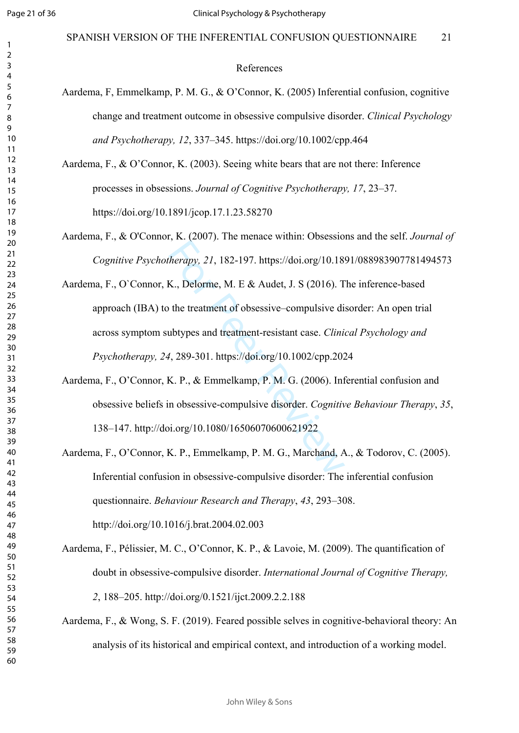#### References

- Aardema, F, Emmelkamp, P. M. G., & O'Connor, K. (2005) Inferential confusion, cognitive change and treatment outcome in obsessive compulsive disorder. *Clinical Psychology and Psychotherapy, 12*, 337–345. <https://doi.org/10.1002/cpp.464>
- Aardema, F., & O'Connor, K. (2003). Seeing white bears that are not there: Inference processes in obsessions. *Journal of Cognitive Psychotherapy, 17*, 23–37. https://doi.org/10.1891/jcop.17.1.23.58270
- Aardema, F., & O'Connor, K. (2007). The menace within: Obsessions and the self. *Journal of Cognitive Psychotherapy, 21*, 182-197. https://doi.org/10.1891/088983907781494573
- *Herapy, 21, 182-197. https://doi.org/10.18*<br>K., Delorme, M. E & Audet, J. S (2016). T<br>the treatment of obsessive–compulsive di<br>ubtypes and treatment-resistant case. *Clini*<br>4, 289-301. https://doi.org/10.1002/cpp.202<br>K. Aardema, F., O`Connor, K., Delorme, M. E & Audet, J. S (2016). The inference-based approach (IBA) to the treatment of obsessive–compulsive disorder: An open trial across symptom subtypes and treatment-resistant case. *Clinical Psychology and Psychotherapy, 24*, 289-301. https://doi.org/10.1002/cpp.2024
- Aardema, F., O'Connor, K. P., & Emmelkamp, P. M. G. (2006). Inferential confusion and obsessive beliefs in obsessive-compulsive disorder. *Cognitive Behaviour Therapy*, *35*, 138–147.<http://doi.org/10.1080/16506070600621922>
- Aardema, F., O'Connor, K. P., Emmelkamp, P. M. G., Marchand, A., & Todorov, C. (2005). Inferential confusion in obsessive-compulsive disorder: The inferential confusion questionnaire. *Behaviour Research and Therapy*, *43*, 293–308. http://doi.org/10.1016/j.brat.2004.02.003
- Aardema, F., Pélissier, M. C., O'Connor, K. P., & Lavoie, M. (2009). The quantification of doubt in obsessive-compulsive disorder. *International Journal of Cognitive Therapy, 2*, 188–205. http://doi.org/0.1521/ijct.2009.2.2.188
- Aardema, F., & Wong, S. F. (2019). Feared possible selves in cognitive-behavioral theory: An analysis of its historical and empirical context, and introduction of a working model.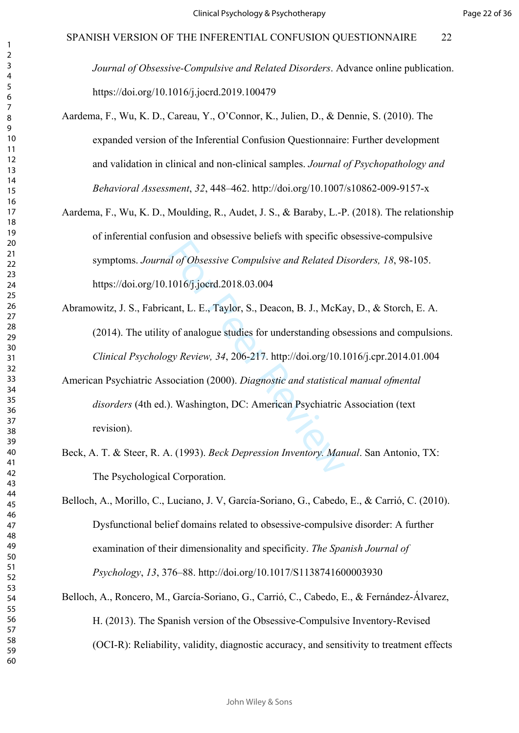*Journal of Obsessive-Compulsive and Related Disorders*. Advance online publication. https://doi.org/10.1016/j.jocrd.2019.100479

- Aardema, F., Wu, K. D., Careau, Y., O'Connor, K., Julien, D., & Dennie, S. (2010). The expanded version of the Inferential Confusion Questionnaire: Further development and validation in clinical and non-clinical samples. *Journal of Psychopathology and Behavioral Assessment*, *32*, 448–462. http://doi.org/10.1007/s10862-009-9157-x
- Aardema, F., Wu, K. D., Moulding, R., Audet, J. S., & Baraby, L.-P. (2018). The relationship of inferential confusion and obsessive beliefs with specific obsessive-compulsive symptoms. *Journal of Obsessive Compulsive and Related Disorders, 18*, 98-105. <https://doi.org/10.1016/j.jocrd.2018.03.004>
- Abramowitz, J. S., Fabricant, L. E., Taylor, S., Deacon, B. J., McKay, D., & Storch, E. A. (2014). The utility of analogue studies for understanding obsessions and compulsions. *Clinical Psychology Review, 34*, 206-217. http://doi.org/10.1016/j.cpr.2014.01.004
- al of Obsessive Compulsive and Related Di<br>1016/j.joerd.2018.03.004<br>ant, L. E., Taylor, S., Deacon, B. J., McKa<br>1016/j.joerd.2018.03.004<br>1016/s. Peer Review, 34, 206-217. http://doi.org/10.1<br>1016/sociation (2000). Diagnosti American Psychiatric Association (2000). *Diagnostic and statistical manual ofmental disorders* (4th ed.). Washington, DC: American Psychiatric Association (text revision).
- Beck, A. T. & Steer, R. A. (1993). *Beck Depression Inventory. Manual*. San Antonio, TX: The Psychological Corporation.
- Belloch, A., Morillo, C., Luciano, J. V, García-Soriano, G., Cabedo, E., & Carrió, C. (2010). Dysfunctional belief domains related to obsessive-compulsive disorder: A further examination of their dimensionality and specificity. *The Spanish Journal of Psychology*, *13*, 376–88. http://doi.org/10.1017/S1138741600003930
- Belloch, A., Roncero, M., García-Soriano, G., Carrió, C., Cabedo, E., & Fernández-Álvarez, H. (2013). The Spanish version of the Obsessive-Compulsive Inventory-Revised (OCI-R): Reliability, validity, diagnostic accuracy, and sensitivity to treatment effects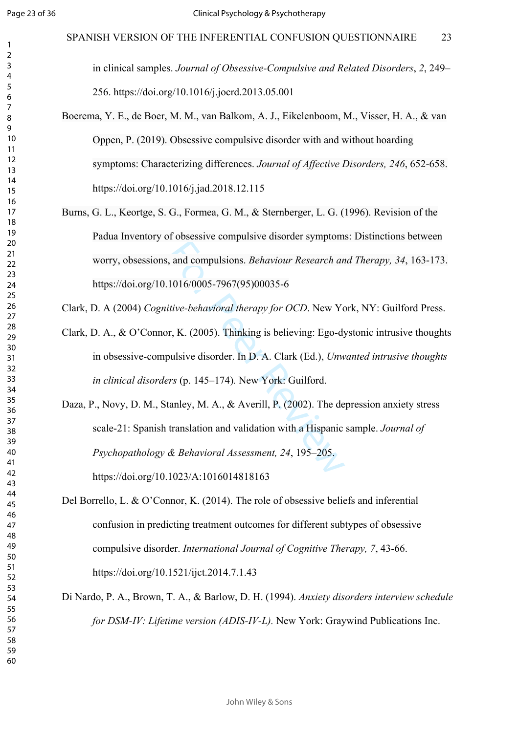$\mathbf{1}$  $\overline{2}$  $\overline{4}$  $\overline{7}$ 

in clinical samples. *Journal of Obsessive-Compulsive and Related Disorders*, *2*, 249– 256. https://doi.org/10.1016/j.jocrd.2013.05.001

- Boerema, Y. E., de Boer, M. M., van Balkom, A. J., Eikelenboom, M., Visser, H. A., & van Oppen, P. (2019). Obsessive compulsive disorder with and without hoarding symptoms: Characterizing differences. *Journal of Affective Disorders, 246*, 652-658. https://doi.org/10.1016/j.jad.2018.12.115
- Burns, G. L., Keortge, S. G., Formea, G. M., & Sternberger, L. G. (1996). Revision of the Padua Inventory of obsessive compulsive disorder symptoms: Distinctions between worry, obsessions, and compulsions. *Behaviour Research and Therapy, 34*, 163-173. https://doi.org/10.1016/0005-7967(95)00035-6

Clark, D. A (2004) *Cognitive-behavioral therapy for OCD*. New York, NY: Guilford Press.

Clark, D. A., & O'Connor, K. (2005). Thinking is believing: Ego-dystonic intrusive thoughts in obsessive-compulsive disorder. In D. A. Clark (Ed.), *Unwanted intrusive thoughts in clinical disorders* (p. 145–174)*.* New York: Guilford.

and compulsions. *Behaviour Research an*<br>
1016/0005-7967(95)00035-6<br> *itive-behavioral therapy for OCD*. New York<br>
r, K. (2005). Thinking is believing: Ego-dy<br>
bulsive disorder. In D. A. Clark (Ed.), *Unw*<br> *rs* (p. 145–1 Daza, P., Novy, D. M., Stanley, M. A., & Averill, P. (2002). The depression anxiety stress scale-21: Spanish translation and validation with a Hispanic sample. *Journal of Psychopathology & Behavioral Assessment, 24*, 195–205. https://doi.org/10.1023/A:1016014818163

- Del Borrello, L. & O'Connor, K. (2014). The role of obsessive beliefs and inferential confusion in predicting treatment outcomes for different subtypes of obsessive compulsive disorder. *International Journal of Cognitive Therapy, 7*, 43-66. https://doi.org/10.1521/ijct.2014.7.1.43
- Di Nardo, P. A., Brown, T. A., & Barlow, D. H. (1994). *Anxiety disorders interview schedule for DSM-IV: Lifetime version (ADIS-IV-L).* New York: Graywind Publications Inc.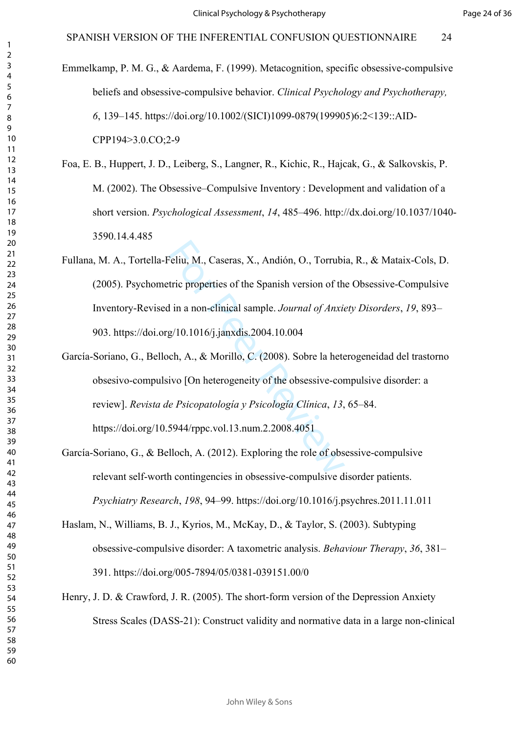- Emmelkamp, P. M. G., & Aardema, F. (1999). Metacognition, specific obsessive-compulsive beliefs and obsessive-compulsive behavior. *Clinical Psychology and Psychotherapy,*  , 139–145. https://doi.org/10.1002/(SICI)1099-0879(199905)6:2<139::AID-CPP194>3.0.CO;2-9
- Foa, E. B., Huppert, J. D., Leiberg, S., Langner, R., Kichic, R., Hajcak, G., & Salkovskis, P. M. (2002). The Obsessive–Compulsive Inventory : Development and validation of a short version. *Psychological Assessment*, *14*, 485–496. http://dx.doi.org/10.1037/1040- 3590.14.4.485
- Feliu, M., Caseras, X., Andión, O., Torrubi<br>tric properties of the Spanish version of th<br>1 in a non-clinical sample. Journal of Anxis<br>g/10.1016/j.janxdis.2004.10.004<br>cch, A., & Morillo, C. (2008). Sobre la hete<br>ivo [On he Fullana, M. A., Tortella-Feliu, M., Caseras, X., Andión, O., Torrubia, R., & Mataix-Cols, D. (2005). Psychometric properties of the Spanish version of the Obsessive-Compulsive Inventory-Revised in a non-clinical sample. *Journal of Anxiety Disorders*, *19*, 893– 903. https://doi.org/10.1016/j.janxdis.2004.10.004
- García-Soriano, G., Belloch, A., & Morillo, C. (2008). Sobre la heterogeneidad del trastorno obsesivo-compulsivo [On heterogeneity of the obsessive-compulsive disorder: a review]. *Revista de Psicopatología y Psicología Clínica*, *13*, 65–84. https://doi.org/10.5944/rppc.vol.13.num.2.2008.4051
- García-Soriano, G., & Belloch, A. (2012). Exploring the role of obsessive-compulsive relevant self-worth contingencies in obsessive-compulsive disorder patients. *Psychiatry Research*, *198*, 94–99. https://doi.org/10.1016/j.psychres.2011.11.011
- Haslam, N., Williams, B. J., Kyrios, M., McKay, D., & Taylor, S. (2003). Subtyping obsessive-compulsive disorder: A taxometric analysis. *Behaviour Therapy*, *36*, 381– 391. https://doi.org/005-7894/05/0381-039151.00/0
- Henry, J. D. & Crawford, J. R. (2005). The short-form version of the Depression Anxiety Stress Scales (DASS-21): Construct validity and normative data in a large non-clinical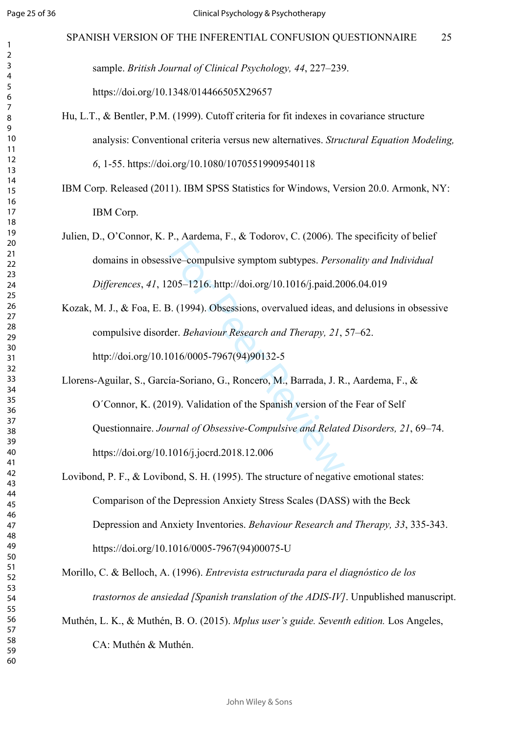sample. *British Journal of Clinical Psychology, 44*, 227–239. https://doi.org/10.1348/014466505X29657

- Hu, L.T., & Bentler, P.M. (1999). Cutoff criteria for fit indexes in covariance structure analysis: Conventional criteria versus new alternatives. *Structural Equation Modeling, 6*, 1-55. https://doi.org/10.1080/10705519909540118
- IBM Corp. Released (2011). IBM SPSS Statistics for Windows, Version 20.0. Armonk, NY: IBM Corp.
- Julien, D., O'Connor, K. P., Aardema, F., & Todorov, C. (2006). The specificity of belief domains in obsessive–compulsive symptom subtypes. *Personality and Individual Differences*, *41*, 1205–1216. http://doi.org/10.1016/j.paid.2006.04.019
- Kozak, M. J., & Foa, E. B. (1994). Obsessions, overvalued ideas, and delusions in obsessive compulsive disorder. *Behaviour Research and Therapy, 21*, 57–62. http://doi.org/10.1016/0005-7967(94)90132-5
- ive–compulsive symptom subtypes. *Perso*<br>205–1216. http://doi.org/10.1016/j.paid.20<br>3. (1994). Obsessions, overvalued ideas, ar<br>ler. *Behaviour Research and Therapy*, 21,<br>016/0005-7967(94)90132-5<br>fa-Soriano, G., Roncero, Llorens-Aguilar, S., García-Soriano, G., Roncero, M., Barrada, J. R., Aardema, F., & O´Connor, K. (2019). Validation of the Spanish version of the Fear of Self Questionnaire. *Journal of Obsessive-Compulsive and Related Disorders, 21*, 69–74. <https://doi.org/10.1016/j.jocrd.2018.12.006>
- Lovibond, P. F., & Lovibond, S. H. (1995). The structure of negative emotional states: Comparison of the Depression Anxiety Stress Scales (DASS) with the Beck Depression and Anxiety Inventories. *Behaviour Research and Therapy, 33*, 335-343. https://doi.org/10.1016/0005-7967(94)00075-U
- Morillo, C. & Belloch, A. (1996). *Entrevista estructurada para el diagnóstico de los trastornos de ansiedad [Spanish translation of the ADIS-IV]*. Unpublished manuscript.
- Muthén, L. K., & Muthén, B. O. (2015). *Mplus user's guide. Seventh edition.* Los Angeles,

CA: Muthén & Muthén.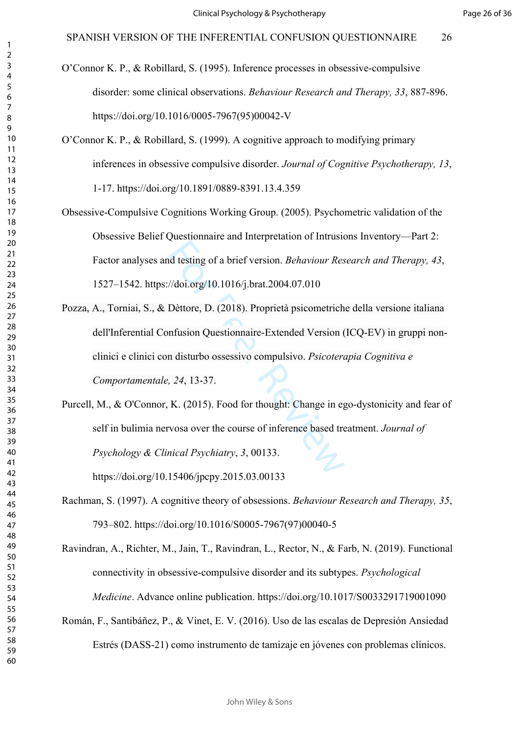- O'Connor K. P., & Robillard, S. (1995). Inference processes in obsessive-compulsive disorder: some clinical observations. *Behaviour Research and Therapy, 33*, 887-896. https://doi.org/10.1016/0005-7967(95)00042-V
- O'Connor K. P., & Robillard, S. (1999). A cognitive approach to modifying primary inferences in obsessive compulsive disorder. *Journal of Cognitive Psychotherapy, 13*, 1-17. https://doi.org/10.1891/0889-8391.13.4.359
- Obsessive-Compulsive Cognitions Working Group. (2005). Psychometric validation of the Obsessive Belief Questionnaire and Interpretation of Intrusions Inventory—Part 2: Factor analyses and testing of a brief version. *Behaviour Research and Therapy, 43*, 1527–1542. https://doi.org/10.1016/j.brat.2004.07.010
- Multiple of a brief version. *Behaviour Res*<br>
Multiple of a brief version. *Behaviour Res*<br>
Multiple of 2018). Proprietà psicometrich<br>
mfusion Questionnaire-Extended Version (<br>
multiple of Version Conservative of the distr Pozza, A., Torniai, S., & Dèttore, D. (2018). Proprietà psicometriche della versione italiana dell'Inferential Confusion Questionnaire-Extended Version (ICQ-EV) in gruppi nonclinici e clinici con disturbo ossessivo compulsivo. *Psicoterapia Cognitiva e Comportamentale, 24*, 13-37.
- Purcell, M., & O'Connor, K. (2015). Food for thought: Change in ego-dystonicity and fear of self in bulimia nervosa over the course of inference based treatment. *Journal of Psychology & Clinical Psychiatry*, *3*, 00133. https://doi.org/10.15406/jpcpy.2015.03.00133
- Rachman, S. (1997). A cognitive theory of obsessions. *Behaviour Research and Therapy, 35*, 793–802. https://doi.org/10.1016/S0005-7967(97)00040-5
- Ravindran, A., Richter, M., Jain, T., Ravindran, L., Rector, N., & Farb, N. (2019). Functional connectivity in obsessive-compulsive disorder and its subtypes. *Psychological Medicine*. Advance online publication. https://doi.org/10.1017/S0033291719001090
- Román, F., Santibáñez, P., & Vinet, E. V. (2016). Uso de las escalas de Depresión Ansiedad Estrés (DASS-21) como instrumento de tamizaje en jóvenes con problemas clínicos.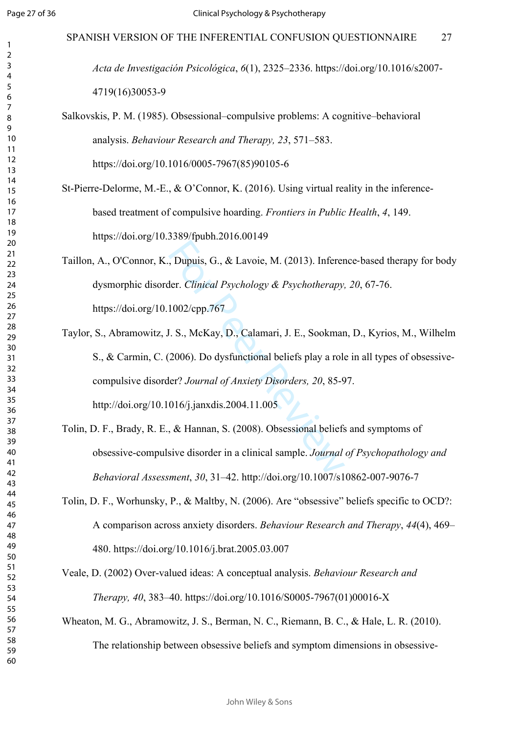$\mathbf{1}$  $\overline{2}$  $\overline{4}$  $\overline{7}$ 

*Acta de Investigación Psicológica*, *6*(1), 2325–2336. https://doi.org/10.1016/s2007- 4719(16)30053-9

# Salkovskis, P. M. (1985). Obsessional–compulsive problems: A cognitive–behavioral analysis. *Behaviour Research and Therapy, 23*, 571–583.

https://doi.org/10.1016/0005-7967(85)90105-6

- St-Pierre-Delorme, M.-E.,  $\& O'$ Connor, K. (2016). Using virtual reality in the inferencebased treatment of compulsive hoarding. *Frontiers in Public Health*, *4*, 149. https://doi.org/10.3389/fpubh.2016.00149
- Taillon, A., O'Connor, K., Dupuis, G., & Lavoie, M. (2013). Inference ‐based therapy for body dysmorphic disorder. *Clinical Psychology & Psychotherapy, 20*, 67-76. https://doi.org/10.1002/cpp.767

, Dupuis, G., & Lavoie, M. (2013). Inferent<br>
ler. Clinical Psychology & Psychotherapy,<br>
1002/cpp.767<br>
I. S., McKay, D., Calamari, J. E., Sookmar<br>
2006). Do dysfunctional beliefs play a rol<br>
ler? Journal of Anxiety Disorde Taylor, S., Abramowitz, J. S., McKay, D., Calamari, J. E., Sookman, D., Kyrios, M., Wilhelm S., & Carmin, C. (2006). Do dysfunctional beliefs play a role in all types of obsessivecompulsive disorder? *Journal of Anxiety Disorders, 20*, 85-97. http://doi.org/10.1016/j.janxdis.2004.11.005

- Tolin, D. F., Brady, R. E., & Hannan, S. (2008). Obsessional beliefs and symptoms of obsessive-compulsive disorder in a clinical sample. *Journal of Psychopathology and Behavioral Assessment*, *30*, 31–42. http://doi.org/10.1007/s10862-007-9076-7
- Tolin, D. F., Worhunsky, P., & Maltby, N. (2006). Are "obsessive" beliefs specific to OCD?: A comparison across anxiety disorders. *Behaviour Research and Therapy*, *44*(4), 469– 480. https://doi.org/10.1016/j.brat.2005.03.007
- Veale, D. (2002) Over-valued ideas: A conceptual analysis. *Behaviour Research and Therapy, 40*, 383–40. [https://doi.org/10.1016/S0005-7967\(01\)00016-X](https://doi.org/10.1016/S0005-7967(01)00016-X)
- Wheaton, M. G., Abramowitz, J. S., Berman, N. C., Riemann, B. C., & Hale, L. R. (2010). The relationship between obsessive beliefs and symptom dimensions in obsessive-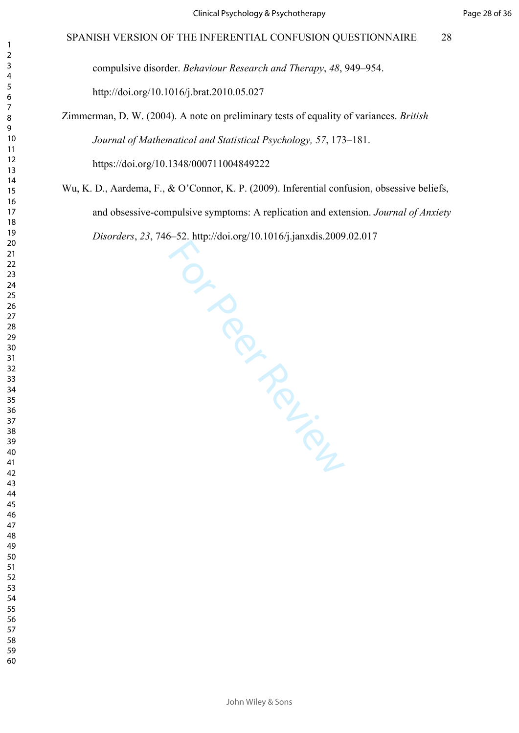compulsive disorder. *Behaviour Research and Therapy*, *48*, 949–954. http://doi.org/10.1016/j.brat.2010.05.027

# Zimmerman, D. W. (2004). A note on preliminary tests of equality of variances. *British Journal of Mathematical and Statistical Psychology, 57*, 173–181.

https://doi.org/10.1348/000711004849222

For Per Review Wu, K. D., Aardema, F., & O'Connor, K. P. (2009). Inferential confusion, obsessive beliefs, and obsessive-compulsive symptoms: A replication and extension. *Journal of Anxiety Disorders*, *23*, 746–52.<http://doi.org/10.1016/j.janxdis.2009.02.017>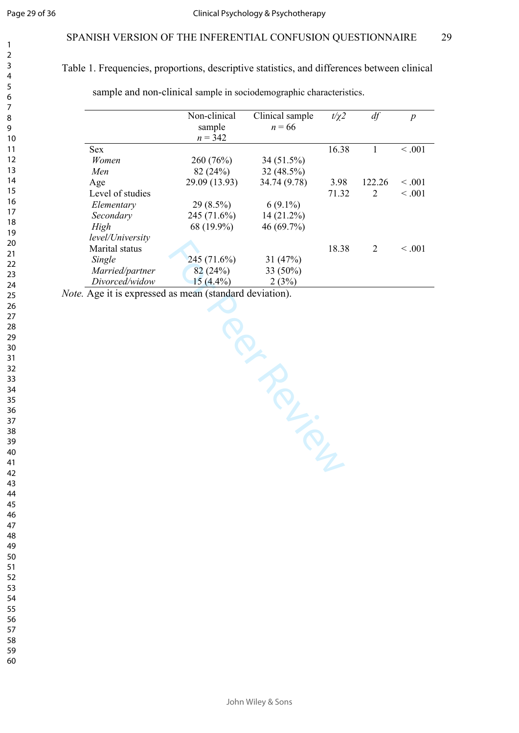# Table 1. Frequencies, proportions, descriptive statistics, and differences between clinical

sample and non-clinical sample in sociodemographic characteristics.

|                  | Non-clinical  | Clinical sample | $t/\gamma$ 2 | df     | $\boldsymbol{p}$ |
|------------------|---------------|-----------------|--------------|--------|------------------|
|                  | sample        | $n = 66$        |              |        |                  |
|                  | $n = 342$     |                 |              |        |                  |
| <b>Sex</b>       |               |                 | 16.38        |        | $\leq 0.01$      |
| Women            | 260(76%)      | 34 (51.5%)      |              |        |                  |
| Men              | 82(24%)       | 32(48.5%)       |              |        |                  |
| Age              | 29.09 (13.93) | 34.74 (9.78)    | 3.98         | 122.26 | < 0.001          |
| Level of studies |               |                 | 71.32        | 2      | < 0.001          |
| Elementary       | $29(8.5\%)$   | $6(9.1\%)$      |              |        |                  |
| Secondary        | 245 (71.6%)   | $14(21.2\%)$    |              |        |                  |
| High             | 68 (19.9%)    | 46 (69.7%)      |              |        |                  |
| level/University |               |                 |              |        |                  |
| Marital status   |               |                 | 18.38        | 2      | $\leq 0.01$      |
| Single           | 245(71.6%)    | 31(47%)         |              |        |                  |
| Married/partner  | 82(24%)       | 33 (50%)        |              |        |                  |
| Divorced/widow   | $15(4.4\%)$   | 2(3%)           |              |        |                  |

Ten Persian

*Note.* Age it is expressed as mean (standard deviation).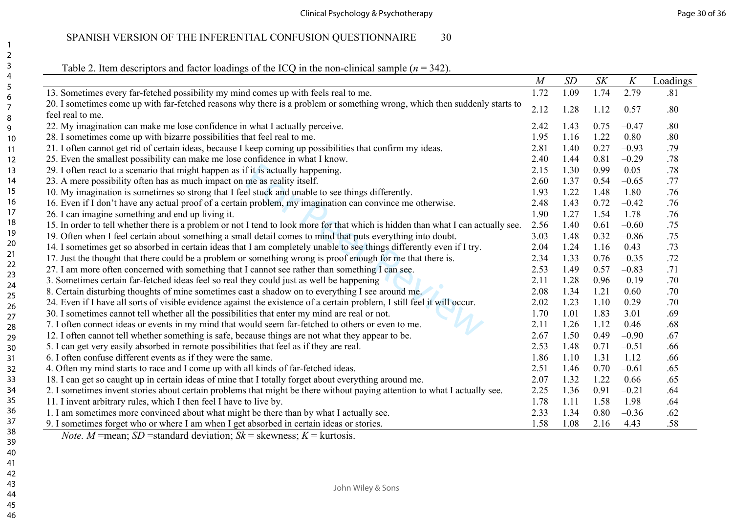| 13. Sometimes every far-fetched possibility my mind comes up with feels real to me.<br>20. I sometimes come up with far-fetched reasons why there is a problem or something wrong, which then suddenly starts to<br>feel real to me.<br>22. My imagination can make me lose confidence in what I actually perceive.<br>28. I sometimes come up with bizarre possibilities that feel real to me.<br>21. I often cannot get rid of certain ideas, because I keep coming up possibilities that confirm my ideas. | 1.72<br>2.12<br>2.42<br>1.95<br>2.81<br>2.40 | 1.09<br>1.28<br>1.43<br>1.16<br>1.40 | 1.74<br>1.12<br>0.75<br>1.22 | 2.79<br>0.57<br>$-0.47$ | .81<br>.80<br>.80 |
|---------------------------------------------------------------------------------------------------------------------------------------------------------------------------------------------------------------------------------------------------------------------------------------------------------------------------------------------------------------------------------------------------------------------------------------------------------------------------------------------------------------|----------------------------------------------|--------------------------------------|------------------------------|-------------------------|-------------------|
|                                                                                                                                                                                                                                                                                                                                                                                                                                                                                                               |                                              |                                      |                              |                         |                   |
|                                                                                                                                                                                                                                                                                                                                                                                                                                                                                                               |                                              |                                      |                              |                         |                   |
|                                                                                                                                                                                                                                                                                                                                                                                                                                                                                                               |                                              |                                      |                              |                         |                   |
|                                                                                                                                                                                                                                                                                                                                                                                                                                                                                                               |                                              |                                      |                              |                         |                   |
|                                                                                                                                                                                                                                                                                                                                                                                                                                                                                                               |                                              |                                      |                              | 0.80                    | .80               |
|                                                                                                                                                                                                                                                                                                                                                                                                                                                                                                               |                                              |                                      | 0.27                         | $-0.93$                 | .79               |
| 25. Even the smallest possibility can make me lose confidence in what I know.                                                                                                                                                                                                                                                                                                                                                                                                                                 |                                              | 1.44                                 | 0.81                         | $-0.29$                 | .78               |
| 29. I often react to a scenario that might happen as if it is actually happening.                                                                                                                                                                                                                                                                                                                                                                                                                             | 2.15                                         | 1.30                                 | 0.99                         | 0.05                    | .78               |
| 23. A mere possibility often has as much impact on me as reality itself.                                                                                                                                                                                                                                                                                                                                                                                                                                      | 2.60                                         | 1.37                                 | 0.54                         | $-0.65$                 | .77               |
| 10. My imagination is sometimes so strong that I feel stuck and unable to see things differently.                                                                                                                                                                                                                                                                                                                                                                                                             | 1.93                                         | 1.22                                 | 1.48                         | 1.80                    | .76               |
| 16. Even if I don't have any actual proof of a certain problem, my imagination can convince me otherwise.                                                                                                                                                                                                                                                                                                                                                                                                     | 2.48                                         | 1.43                                 | 0.72                         | $-0.42$                 | .76               |
| 26. I can imagine something and end up living it.                                                                                                                                                                                                                                                                                                                                                                                                                                                             | 1.90                                         | 1.27                                 | 1.54                         | 1.78                    | .76               |
| 15. In order to tell whether there is a problem or not I tend to look more for that which is hidden than what I can actually see.                                                                                                                                                                                                                                                                                                                                                                             | 2.56                                         | 1.40                                 | 0.61                         | $-0.60$                 | .75               |
| 19. Often when I feel certain about something a small detail comes to mind that puts everything into doubt.                                                                                                                                                                                                                                                                                                                                                                                                   | 3.03                                         | 1.48                                 | 0.32                         | $-0.86$                 | .75               |
| 14. I sometimes get so absorbed in certain ideas that I am completely unable to see things differently even if I try.                                                                                                                                                                                                                                                                                                                                                                                         | 2.04                                         | 1.24                                 | 1.16                         | 0.43                    | .73               |
| 17. Just the thought that there could be a problem or something wrong is proof enough for me that there is.                                                                                                                                                                                                                                                                                                                                                                                                   | 2.34                                         | 1.33                                 | 0.76                         | $-0.35$                 | .72               |
| 27. I am more often concerned with something that I cannot see rather than something I can see.                                                                                                                                                                                                                                                                                                                                                                                                               | 2.53                                         | 1.49                                 | 0.57                         | $-0.83$                 | .71               |
| 3. Sometimes certain far-fetched ideas feel so real they could just as well be happening                                                                                                                                                                                                                                                                                                                                                                                                                      | 2.11                                         | 1.28                                 | 0.96                         | $-0.19$                 | .70               |
| 8. Certain disturbing thoughts of mine sometimes cast a shadow on to everything I see around me.                                                                                                                                                                                                                                                                                                                                                                                                              | 2.08                                         | 1.34                                 | 1.21                         | 0.60                    | .70               |
| 24. Even if I have all sorts of visible evidence against the existence of a certain problem, I still feel it will occur.                                                                                                                                                                                                                                                                                                                                                                                      | 2.02                                         | 1.23                                 | 1.10                         | 0.29                    | .70               |
| 30. I sometimes cannot tell whether all the possibilities that enter my mind are real or not.                                                                                                                                                                                                                                                                                                                                                                                                                 | 1.70                                         | 1.01                                 | 1.83                         | 3.01                    | .69               |
| 7. I often connect ideas or events in my mind that would seem far-fetched to others or even to me.                                                                                                                                                                                                                                                                                                                                                                                                            | 2.11                                         | 1.26                                 | 1.12                         | 0.46                    | .68               |
| 12. I often cannot tell whether something is safe, because things are not what they appear to be.                                                                                                                                                                                                                                                                                                                                                                                                             | 2.67                                         | 1.50                                 | 0.49                         | $-0.90$                 | .67               |
| 5. I can get very easily absorbed in remote possibilities that feel as if they are real.                                                                                                                                                                                                                                                                                                                                                                                                                      | 2.53                                         | 1.48                                 | 0.71                         | $-0.51$                 | .66               |
| 6. I often confuse different events as if they were the same.                                                                                                                                                                                                                                                                                                                                                                                                                                                 | 1.86                                         | 1.10                                 | 1.31                         | 1.12                    | .66               |
| 4. Often my mind starts to race and I come up with all kinds of far-fetched ideas.                                                                                                                                                                                                                                                                                                                                                                                                                            | 2.51                                         | 1.46                                 | 0.70                         | $-0.61$                 | .65               |
| 18. I can get so caught up in certain ideas of mine that I totally forget about everything around me.                                                                                                                                                                                                                                                                                                                                                                                                         | 2.07                                         | 1.32                                 | 1.22                         | 0.66                    | .65               |
| 2. I sometimes invent stories about certain problems that might be there without paying attention to what I actually see.                                                                                                                                                                                                                                                                                                                                                                                     | 2.25                                         | 1.36                                 | 0.91                         | $-0.21$                 | .64               |
| 11. I invent arbitrary rules, which I then feel I have to live by.                                                                                                                                                                                                                                                                                                                                                                                                                                            | 1.78                                         | 1.11                                 | 1.58                         | 1.98                    | .64               |
| 1. I am sometimes more convinced about what might be there than by what I actually see.                                                                                                                                                                                                                                                                                                                                                                                                                       | 2.33                                         | 1.34                                 | 0.80                         | $-0.36$                 | .62               |
| 9. I sometimes forget who or where I am when I get absorbed in certain ideas or stories.                                                                                                                                                                                                                                                                                                                                                                                                                      | 1.58                                         | 1.08                                 | 2.16                         | 4.43                    | .58               |

*Note. M* =mean; *SD* =standard deviation; *Sk* = skewness; *K* = kurtosis.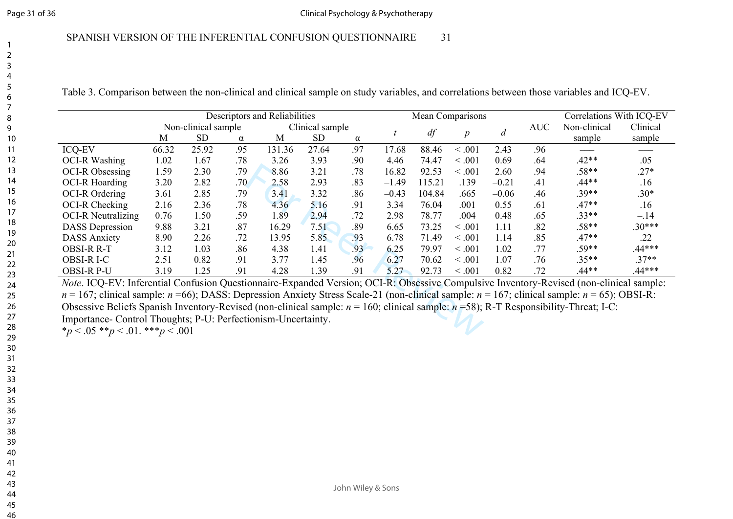# SPANISH VERSION OF THE INFERENTIAL CONFUSION QUESTIONNAIRE 31

| Table 3. Comparison between the non-clinical and clinical sample on study variables, and correlations between those variables and ICQ-EV. |  |  |
|-------------------------------------------------------------------------------------------------------------------------------------------|--|--|
|                                                                                                                                           |  |  |

|                                                                                                                                                                                                             |       |                     |     | Descriptors and Reliabilities |                 |     |         | Mean Comparisons |                  |                |            | Correlations With ICQ-EV |          |
|-------------------------------------------------------------------------------------------------------------------------------------------------------------------------------------------------------------|-------|---------------------|-----|-------------------------------|-----------------|-----|---------|------------------|------------------|----------------|------------|--------------------------|----------|
|                                                                                                                                                                                                             |       | Non-clinical sample |     |                               | Clinical sample |     |         |                  |                  | $\overline{d}$ | <b>AUC</b> | Non-clinical             | Clinical |
|                                                                                                                                                                                                             | M     | <b>SD</b>           | α   | M                             | <b>SD</b>       | α   |         | df               | $\boldsymbol{p}$ |                |            | sample                   | sample   |
| <b>ICQ-EV</b>                                                                                                                                                                                               | 66.32 | 25.92               | .95 | 131.36                        | 27.64           | .97 | 17.68   | 88.46            | < 0.001          | 2.43           | .96        |                          |          |
| <b>OCI-R Washing</b>                                                                                                                                                                                        | 1.02  | 1.67                | .78 | 3.26                          | 3.93            | .90 | 4.46    | 74.47            | < 0.001          | 0.69           | .64        | $.42**$                  | .05      |
| OCI-R Obsessing                                                                                                                                                                                             | 1.59  | 2.30                | .79 | 8.86                          | 3.21            | .78 | 16.82   | 92.53            | < 0.001          | 2.60           | .94        | $.58**$                  | $.27*$   |
| <b>OCI-R Hoarding</b>                                                                                                                                                                                       | 3.20  | 2.82                | .70 | 2.58                          | 2.93            | .83 | $-1.49$ | 115.21           | .139             | $-0.21$        | .41        | $.44**$                  | .16      |
| <b>OCI-R Ordering</b>                                                                                                                                                                                       | 3.61  | 2.85                | .79 | 3.41                          | 3.32            | .86 | $-0.43$ | 104.84           | .665             | $-0.06$        | .46        | $.39**$                  | $.30*$   |
| OCI-R Checking                                                                                                                                                                                              | 2.16  | 2.36                | .78 | 4.36                          | 5.16            | .91 | 3.34    | 76.04            | .001             | 0.55           | .61        | $.47**$                  | .16      |
| <b>OCI-R Neutralizing</b>                                                                                                                                                                                   | 0.76  | 1.50                | .59 | 1.89                          | 2.94            | .72 | 2.98    | 78.77            | .004             | 0.48           | .65        | $.33**$                  | $-.14$   |
| <b>DASS</b> Depression                                                                                                                                                                                      | 9.88  | 3.21                | .87 | 16.29                         | 7.51            | .89 | 6.65    | 73.25            | < 0.001          | 1.11           | .82        | $.58**$                  | $.30***$ |
| <b>DASS Anxiety</b>                                                                                                                                                                                         | 8.90  | 2.26                | .72 | 13.95                         | 5.85            | .93 | 6.78    | 71.49            | < 0.001          | 1.14           | .85        | $.47**$                  | .22      |
| <b>OBSI-R R-T</b>                                                                                                                                                                                           | 3.12  | 1.03                | .86 | 4.38                          | 1.41            | .93 | 6.25    | 79.97            | < 0.001          | 1.02           | .77        | $.59**$                  | $.44***$ |
| OBSI-R I-C                                                                                                                                                                                                  | 2.51  | 0.82                | .91 | 3.77                          | 1.45            | .96 | 6.27    | 70.62            | < 0.001          | 1.07           | .76        | $.35**$                  | $.37**$  |
| <b>OBSI-R P-U</b>                                                                                                                                                                                           | 3.19  | 1.25                | .91 | 4.28                          | 1.39            | .91 | 5.27    | 92.73            | < 0.001          | 0.82           | .72        | $.44**$                  | $.44***$ |
| <i>Note.</i> ICQ-EV: Inferential Confusion Questionnaire-Expanded Version; OCI-R: Obsessive Compulsive Inventory-Revised (non-clinical sample:                                                              |       |                     |     |                               |                 |     |         |                  |                  |                |            |                          |          |
| $n = 167$ ; clinical sample: $n = 66$ ); DASS: Depression Anxiety Stress Scale-21 (non-clinical sample: $n = 167$ ; clinical sample: $n = 65$ ); OBSI-R:                                                    |       |                     |     |                               |                 |     |         |                  |                  |                |            |                          |          |
|                                                                                                                                                                                                             |       |                     |     |                               |                 |     |         |                  |                  |                |            |                          |          |
| Obsessive Beliefs Spanish Inventory-Revised (non-clinical sample: $n = 160$ ; clinical sample: $n = 58$ ); R-T Responsibility-Threat; I-C:<br>Importance- Control Thoughts; P-U: Perfectionism-Uncertainty. |       |                     |     |                               |                 |     |         |                  |                  |                |            |                          |          |
| * $p < .05$ ** $p < .01$ .*** $p < .001$                                                                                                                                                                    |       |                     |     |                               |                 |     |         |                  |                  |                |            |                          |          |
|                                                                                                                                                                                                             |       |                     |     |                               |                 |     |         |                  |                  |                |            |                          |          |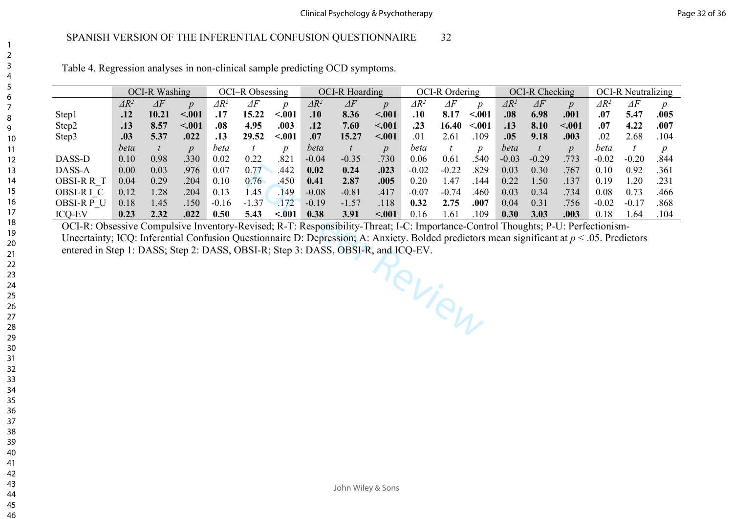Table 4. Regression analyses in non-clinical sample predicting OCD symptoms.

|               |              | <b>OCI-R Washing</b> |                  |                 | OCI-R Obsessing |                  |              | <b>OCI-R Hoarding</b> |                  |                 | <b>OCI-R Ordering</b> |                  |              | OCI-R Checking |                  |                 | <b>OCI-R Neutralizing</b> |      |
|---------------|--------------|----------------------|------------------|-----------------|-----------------|------------------|--------------|-----------------------|------------------|-----------------|-----------------------|------------------|--------------|----------------|------------------|-----------------|---------------------------|------|
|               | $\Delta R^2$ | $\varDelta F$        | $\boldsymbol{p}$ | $\varDelta R^2$ | ΔF              | $\boldsymbol{v}$ | $\Delta R^2$ | $\varDelta F$         | $\boldsymbol{p}$ | $\varDelta R^2$ | $\varDelta F$         | $\boldsymbol{n}$ | $\Delta R^2$ | $\varDelta F$  | $\boldsymbol{D}$ | $\varDelta R^2$ | $\Delta F$                |      |
| Step1         | .12          | 10.21                | < 0.01           | .17             | 15.22           | < .001           | .10          | 8.36                  | $-.001$          | .10             | 8.17                  | < .001           | .08          | 6.98           | .001             | .07             | 5.47                      | .005 |
| Step2         | .13          | 8.57                 | < .001           | .08             | 4.95            | .003             | .12          | 7.60                  | $-.001$          | .23             | 16.40                 | < .001           | .13          | 8.10           | $-.001$          | .07             | 4.22                      | .007 |
| Step3         | .03          | 5.37                 | .022             | .13             | 29.52           | $-.001$          | .07          | 15.27                 | < .001           | .01             | 2.61                  | 109              | .05          | 9.18           | .003             | .02             | 2.68                      | 104  |
|               | beta         |                      | $\boldsymbol{D}$ | beta            |                 | $\boldsymbol{D}$ | beta         |                       | $\boldsymbol{p}$ | beta            |                       | $\boldsymbol{n}$ | beta         |                | $\boldsymbol{p}$ | beta            |                           |      |
| DASS-D        | 0.10         | 0.98                 | .330             | 0.02            | 0.22            | $.82\%$          | $-0.04$      | $-0.35$               | 730              | 0.06            | 0.61                  | 540              | $-0.03$      | $-0.29$        | 773              | $-0.02$         | $-0.20$                   | .844 |
| DASS-A        | 0.00         | 0.03                 | .976             | 0.07            | 0.77            | .442             | 0.02         | 0.24                  | .023             | $-0.02$         | $-0.22$               | 829              | 0.03         | 0.30           | .767             | 0.10            | 0.92                      | .361 |
| OBSI-R R T    | 0.04         | 0.29                 | .204             | 0.10            | 0.76            | .450             | 0.41         | 2.87                  | .005             | 0.20            | .47                   | 144              | 0.22         | .50            | .137             | 0.19            | .20                       | .231 |
| OBSI-R I C    | 0.12         | .28                  | .204             | 0.13            | .45             | 149              | $-0.08$      | $-0.81$               | .417             | $-0.07$         | $-0.74$               | .460             | 0.03         | 0.34           | .734             | 0.08            | 0.73                      | .466 |
| OBSI-RP U     | 0.18         | .45                  | 150              | $-0.16$         | $-1.37$         | 172              | $-0.19$      | $-1.57$               | .118             | 0.32            | 2.75                  | .007             | 0.04         | 0.31           | 756              | $-0.02$         |                           | .868 |
| <b>ICQ-EV</b> | 0.23         | 2.32                 | .022             | 0.50            | 5.43            | < 0.01           | 0.38         | 3.91                  | $-.001$          | 0.16            | .61                   | 109              | 0.30         | 3.03           | .003             | 0.18            | .64                       | .104 |

Review OCI-R: Obsessive Compulsive Inventory-Revised; R-T: Responsibility-Threat; I-C: Importance-Control Thoughts; P-U: Perfectionism-Uncertainty; ICQ: Inferential Confusion Questionnaire D: Depression; A: Anxiety. Bolded predictors mean significant at *p* < .05. Predictors entered in Step 1: DASS; Step 2: DASS, OBSI-R; Step 3: DASS, OBSI-R, and ICQ-EV.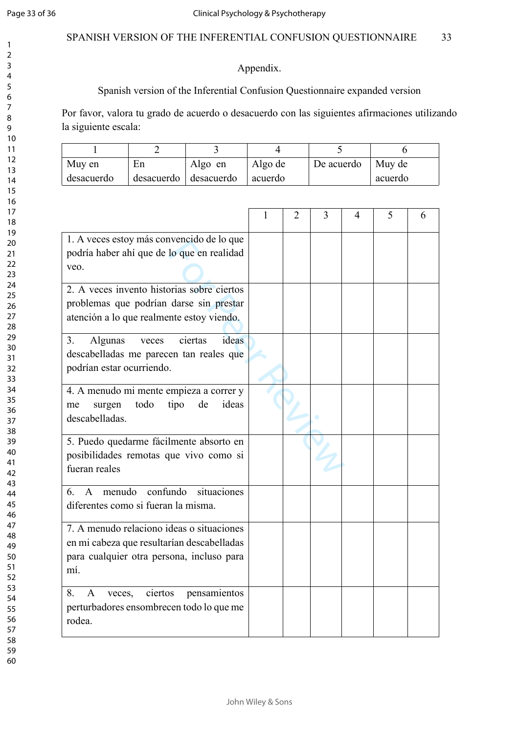$\mathbf{1}$  $\overline{2}$  $\overline{3}$  $\overline{4}$ 5 6  $\overline{7}$ 8  $\overline{9}$ 

# SPANISH VERSION OF THE INFERENTIAL CONFUSION QUESTIONNAIRE 33

# Appendix.

# Spanish version of the Inferential Confusion Questionnaire expanded version

Por favor, valora tu grado de acuerdo o desacuerdo con las siguientes afirmaciones utilizando la siguiente escala:

| Muy en     | En                    | Algo en | Algo de | De acuerdo $\vert$ Muy de |         |
|------------|-----------------------|---------|---------|---------------------------|---------|
| desacuerdo | desacuerdo desacuerdo |         | acuerdo |                           | acuerdo |

|                                                                                                                                             | 1 | $\overline{2}$ | 3 | 4 | 5 | 6 |
|---------------------------------------------------------------------------------------------------------------------------------------------|---|----------------|---|---|---|---|
| 1. A veces estoy más convencido de lo que<br>podría haber ahí que de lo que en realidad<br>veo.                                             |   |                |   |   |   |   |
| 2. A veces invento historias sobre ciertos<br>problemas que podrían darse sin prestar<br>atención a lo que realmente estoy viendo.          |   |                |   |   |   |   |
| Algunas<br>ideas<br>3.<br>ciertas<br>veces<br>descabelladas me parecen tan reales que<br>podrían estar ocurriendo.                          |   |                |   |   |   |   |
| 4. A menudo mi mente empieza a correr y<br>ideas<br>todo<br>tipo<br>de<br>surgen<br>me<br>descabelladas.                                    |   |                |   |   |   |   |
| 5. Puedo quedarme fácilmente absorto en<br>posibilidades remotas que vivo como si<br>fueran reales                                          |   |                |   |   |   |   |
| confundo<br>menudo<br>situaciones<br>6 <sup>1</sup><br>$\mathsf{A}$<br>diferentes como si fueran la misma.                                  |   |                |   |   |   |   |
| 7. A menudo relaciono ideas o situaciones<br>en mi cabeza que resultarían descabelladas<br>para cualquier otra persona, incluso para<br>mí. |   |                |   |   |   |   |
| ciertos<br>8.<br>A<br>pensamientos<br>veces,<br>perturbadores ensombrecen todo lo que me<br>rodea.                                          |   |                |   |   |   |   |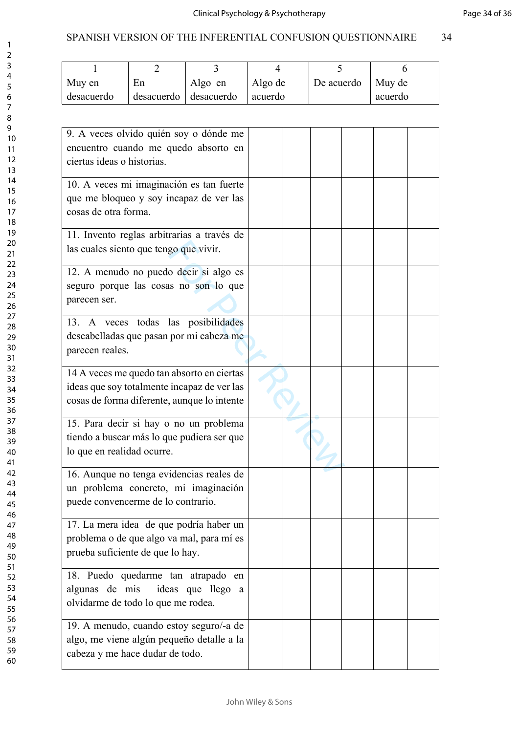| Muy en     | En         | Algo en    | Algo de | De acuerdo | Muy de  |
|------------|------------|------------|---------|------------|---------|
| desacuerdo | desacuerdo | desacuerdo | acuerdo |            | acuerdo |

| 9. A veces olvido quién soy o dónde me<br>encuentro cuando me quedo absorto en<br>ciertas ideas o historias.                             |  |  |  |
|------------------------------------------------------------------------------------------------------------------------------------------|--|--|--|
| 10. A veces mi imaginación es tan fuerte<br>que me bloqueo y soy incapaz de ver las<br>cosas de otra forma.                              |  |  |  |
| 11. Invento reglas arbitrarias a través de<br>las cuales siento que tengo que vivir.                                                     |  |  |  |
| 12. A menudo no puedo decir si algo es<br>seguro porque las cosas no son lo que<br>parecen ser.                                          |  |  |  |
| 13. A veces todas las posibilidades<br>descabelladas que pasan por mi cabeza me<br>parecen reales.                                       |  |  |  |
| 14 A veces me quedo tan absorto en ciertas<br>ideas que soy totalmente incapaz de ver las<br>cosas de forma diferente, aunque lo intente |  |  |  |
| 15. Para decir si hay o no un problema<br>tiendo a buscar más lo que pudiera ser que<br>lo que en realidad ocurre.                       |  |  |  |
| 16. Aunque no tenga evidencias reales de<br>un problema concreto, mi imaginación<br>puede convencerme de lo contrario.                   |  |  |  |
| 17. La mera idea de que podría haber un<br>problema o de que algo va mal, para mí es<br>prueba suficiente de que lo hay.                 |  |  |  |
| 18. Puedo quedarme tan atrapado en<br>algunas de mis<br>ideas que llego a<br>olvidarme de todo lo que me rodea.                          |  |  |  |
| 19. A menudo, cuando estoy seguro/-a de<br>algo, me viene algún pequeño detalle a la<br>cabeza y me hace dudar de todo.                  |  |  |  |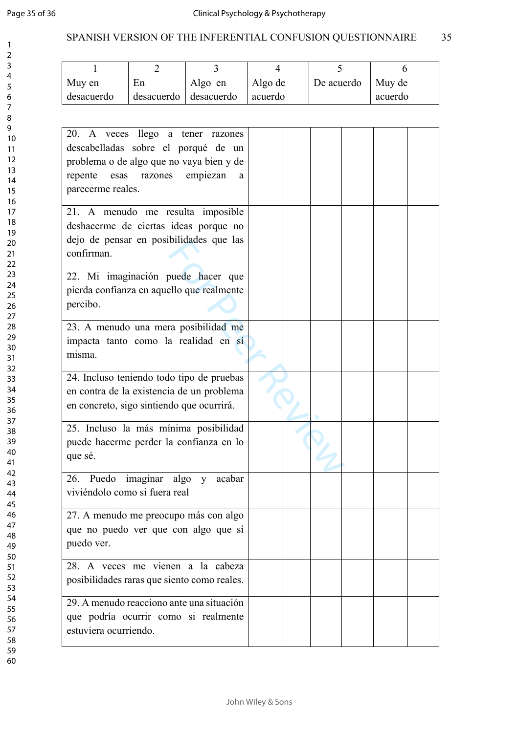$\mathbf{1}$  $\overline{2}$  $\overline{3}$  $\overline{4}$ 5 6  $\overline{7}$ 8  $\overline{9}$ 

# SPANISH VERSION OF THE INFERENTIAL CONFUSION QUESTIONNAIRE 35

| Muy en     | En                    | Algo en | Algo de | De acuerdo $\vert$ Muy de |         |
|------------|-----------------------|---------|---------|---------------------------|---------|
| desacuerdo | desacuerdo desacuerdo |         | acuerdo |                           | acuerdo |

| 20. A veces llego a tener razones<br>descabelladas sobre el porqué de un<br>problema o de algo que no vaya bien y de<br>razones empiezan<br>repente<br>esas<br>a<br>parecerme reales. |  |  |  |
|---------------------------------------------------------------------------------------------------------------------------------------------------------------------------------------|--|--|--|
| 21. A menudo me resulta imposible<br>deshacerme de ciertas ideas porque no<br>dejo de pensar en posibilidades que las<br>confirman.                                                   |  |  |  |
| 22. Mi imaginación puede hacer que<br>pierda confianza en aquello que realmente<br>percibo.                                                                                           |  |  |  |
| 23. A menudo una mera posibilidad me<br>impacta tanto como la realidad en sí<br>misma.                                                                                                |  |  |  |
| 24. Incluso teniendo todo tipo de pruebas<br>en contra de la existencia de un problema<br>en concreto, sigo sintiendo que ocurrirá.                                                   |  |  |  |
| 25. Incluso la más mínima posibilidad<br>puede hacerme perder la confianza en lo<br>que sé.                                                                                           |  |  |  |
| 26. Puedo imaginar algo y<br>acabar<br>viviéndolo como si fuera real                                                                                                                  |  |  |  |
| 27. A menudo me preocupo más con algo<br>que no puedo ver que con algo que sí<br>puedo ver.                                                                                           |  |  |  |
| 28. A veces me vienen a la cabeza<br>posibilidades raras que siento como reales.                                                                                                      |  |  |  |
| 29. A menudo reacciono ante una situación<br>que podría ocurrir como si realmente<br>estuviera ocurriendo.                                                                            |  |  |  |